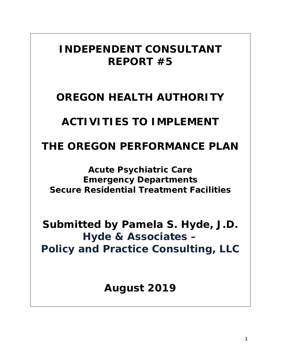# *INDEPENDENT CONSULTANT REPORT #5*

# *OREGON HEALTH AUTHORITY*

# *ACTIVITIES TO IMPLEMENT*

# *THE OREGON PERFORMANCE PLAN*

# *Acute Psychiatric Care Emergency Departments Secure Residential Treatment Facilities*

*Submitted by Pamela S. Hyde, J.D. Hyde & Associates – Policy and Practice Consulting, LLC*

*August 2019*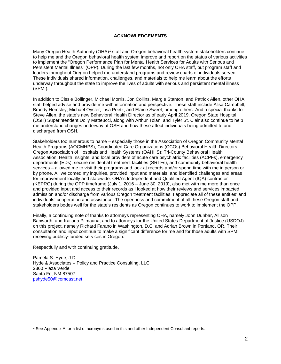## **ACKNOWLEDGEMENTS**

Many Oregon Health Authority (OHA)<sup>[1](#page-1-0)</sup> staff and Oregon behavioral health system stakeholders continue to help me and the Oregon behavioral health system improve and report on the status of various activities to implement the "Oregon Performance Plan for Mental Health Services for Adults with Serious and Persistent Mental Illness" (OPP). During the last few months, not only OHA staff, but program staff and leaders throughout Oregon helped me understand programs and review charts of individuals served. These individuals shared information, challenges, and materials to help me learn about the efforts underway throughout the state to improve the lives of adults with serious and persistent mental illness (SPMI).

In addition to Cissie Bollinger, Michael Morris, Jon Collins, Margie Stanton, and Patrick Allen, other OHA staff helped advise and provide me with information and perspective. These staff include Alisa Campbell, Brandy Hemsley, Michael Oyster, Lisa Peetz, and Elaine Sweet, among others. And a special thanks to Steve Allen, the state's new Behavioral Health Director as of early April 2019. Oregon State Hospital (OSH) Superintendent Dolly Matteucci, along with Arthur Tolan, and Tyler St. Clair also continue to help me understand changes underway at OSH and how these affect individuals being admitted to and discharged from OSH.

Stakeholders too numerous to name – especially those in the Association of Oregon Community Mental Health Programs (AOCMHPS); Coordinated Care Organizations (CCOs) Behavioral Health Directors; Oregon Association of Hospitals and Health Systems (OAHHS); Tri-County Behavioral Health Association; Health Insights; and local providers of acute care psychiatric facilities (ACPFs), emergency departments (EDs), secure residential treatment facilities (SRTFs), and community behavioral health services – allowed me to visit their programs and look at records and/or spend time with me in person or by phone. All welcomed my inquiries, provided input and materials, and identified challenges and areas for improvement locally and statewide. OHA's Independent and Qualified Agent (IQA) contractor (KEPRO) during the OPP timeframe (July 1, 2016 – June 30, 2019), also met with me more than once and provided input and access to their records as I looked at how their reviews and services impacted admission and/or discharge from various Oregon treatment facilities. I appreciate all of these entities' and individuals' cooperation and assistance. The openness and commitment of all these Oregon staff and stakeholders bodes well for the state's residents as Oregon continues to work to implement the OPP.

Finally, a continuing note of thanks to attorneys representing OHA, namely John Dunbar, Allison Banwarth, and Kailana Piimauna, and to attorneys for the United States Department of Justice (USDOJ) on this project, namely Richard Farano in Washington, D.C. and Adrian Brown in Portland, OR. Their consultation and input continue to make a significant difference for me and for those adults with SPMI receiving publicly-funded services in Oregon.

Respectfully and with continuing gratitude,

Pamela S. Hyde, J.D. Hyde & Associates – Policy and Practice Consulting, LLC 2860 Plaza Verde Santa Fe, NM 87507 [pshyde50@comcast.net](mailto:pshyde50@comcast.net)

<span id="page-1-0"></span><sup>1</sup> See Appendix A for a list of acronyms used in this and other Independent Consultant reports.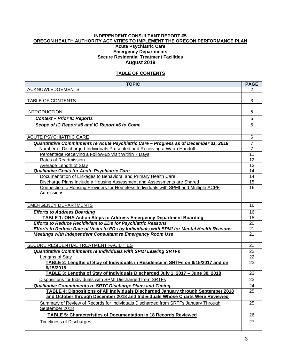# **INDEPENDENT CONSULTANT REPORT #5 OREGON HEALTH AUTHORITY ACTIVITIES TO IMPLEMENT THE OREGON PERFORMANCE PLAN Acute Psychiatric Care**

## **Emergency Departments Secure Residential Treatment Facilities August 2019**

# **TABLE OF CONTENTS**

| <b>TOPIC</b>                                                                                         | <b>PAGE</b>     |
|------------------------------------------------------------------------------------------------------|-----------------|
| <b>ACKNOWLEDGEMENTS</b>                                                                              | $\overline{2}$  |
|                                                                                                      |                 |
| <b>TABLE OF CONTENTS</b>                                                                             | 3               |
|                                                                                                      |                 |
| <b>INTRODUCTION</b>                                                                                  | 5               |
| <b>Context - Prior IC Reports</b>                                                                    | 5               |
| Scope of IC Report #5 and IC Report #6 to Come                                                       | 5               |
|                                                                                                      |                 |
| <b>ACUTE PSYCHIATRIC CARE</b>                                                                        | 6               |
| Quantitative Commitments re Acute Psychiatric Care - Progress as of December 31, 2018                | $\overline{7}$  |
| Number of Discharged Individuals Presented and Receiving a Warm Handoff                              | $\overline{7}$  |
| Percentage Receiving a Follow-up Visit Within 7 Days                                                 | 11              |
| Rates of Readmission                                                                                 | 12              |
| <b>Average Length of Stay</b>                                                                        | 13              |
| Qualitative Goals for Acute Psychiatric Care                                                         | 14              |
| Documentation of Linkages to Behavioral and Primary Health Care                                      | 14              |
| Discharge Plans Include a Housing Assessment and Assessments are Shared                              | 15              |
| Connection to Housing Providers for Homeless Individuals with SPMI and Multiple ACPF<br>Admissions   | 16              |
|                                                                                                      |                 |
| <b>EMERGENCY DEPARTMENTS</b>                                                                         | 16              |
| <b>Efforts to Address Boarding</b>                                                                   | 16              |
| <b>TABLE 1: OHA Action Steps to Address Emergency Department Boarding</b>                            | 18              |
| <b>Efforts to Reduce Recidivism to EDs for Psychiatric Reasons</b>                                   | 20              |
| Efforts to Reduce Rate of Visits to EDs by Individuals with SPMI for Mental Health Reasons           | 21              |
| Meetings with Independent Consultant re Emergency Room Use                                           | 21              |
|                                                                                                      |                 |
| SECURE RESIDENTIAL TREATMENT FACILITIES                                                              | 21              |
| <b>Quantitative Commitments re Individuals with SPMI Leaving SRTFs</b>                               | 22              |
| Lengths of Stay                                                                                      | 22              |
| TABLE 2: Lengths of Stay of Individuals in Residence in SRTFs on 6/15/2017 and on<br>6/15/2018       | 23              |
| TABLE 3: Lengths of Stay of Individuals Discharged July 1, 2017 - June 30, 2018                      | 23              |
| Dispositions for Individuals with SPMI Discharged from SRTFs                                         | 23              |
| Qualitative Commitments re SRTF Discharge Plans and Timing                                           | $\overline{24}$ |
| TABLE 4: Dispositions of All Individuals Discharged January through September 2018                   | 25              |
| and October through December 2018 and Individuals Whose Charts Were Reviewed                         |                 |
| Summary of Review of Records for Individuals Discharged from SRTFs January Through<br>September 2018 | 25              |
| <b>TABLE 5: Characteristics of Documentation in 18 Records Reviewed</b>                              | 26              |
| <b>Timeliness of Discharges</b>                                                                      | 27              |
|                                                                                                      |                 |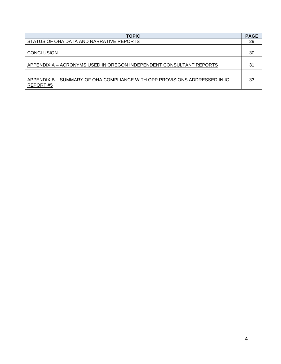| <b>TOPIC</b>                                                                           | <b>PAGE</b> |
|----------------------------------------------------------------------------------------|-------------|
| STATUS OF OHA DATA AND NARRATIVE REPORTS                                               | 29          |
|                                                                                        |             |
| <b>CONCLUSION</b>                                                                      | 30          |
|                                                                                        |             |
| APPENDIX A - ACRONYMS USED IN OREGON INDEPENDENT CONSULTANT REPORTS                    | 31          |
|                                                                                        |             |
| APPENDIX B - SUMMARY OF OHA COMPLIANCE WITH OPP PROVISIONS ADDRESSED IN IC<br>REPORT#5 | 33          |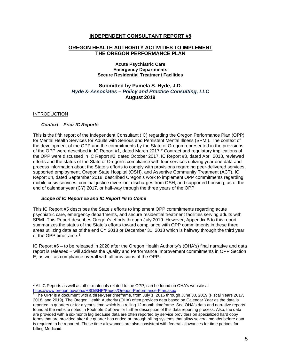#### **INDEPENDENT CONSULTANT REPORT #5**

#### **OREGON HEALTH AUTHORITY ACTIVITIES TO IMPLEMENT THE OREGON PERFORMANCE PLAN**

#### **Acute Psychiatric Care Emergency Departments Secure Residential Treatment Facilities**

# **Submitted by Pamela S. Hyde, J.D.** *Hyde & Associates – Policy and Practice Consulting, LLC* **August 2019**

#### INTRODUCTION

#### *Context – Prior IC Reports*

This is the fifth report of the Independent Consultant (IC) regarding the Oregon Performance Plan (OPP) for Mental Health Services for Adults with Serious and Persistent Mental Illness (SPMI). The context of the development of the OPP and the commitments by the State of Oregon represented in the provisions of the OPP were described in IC Report #1, dated March 2017.[2](#page-4-0) Contract and regulatory implications of the OPP were discussed in IC Report #2, dated October 2017. IC Report #3, dated April 2018, reviewed efforts and the status of the State of Oregon's compliance with four services utilizing year one data and process information about the State's efforts to comply with provisions regarding peer-delivered services, supported employment, Oregon State Hospital (OSH), and Assertive Community Treatment (ACT). IC Report #4, dated September 2018, described Oregon's work to implement OPP commitments regarding mobile crisis services, criminal justice diversion, discharges from OSH, and supported housing, as of the end of calendar year (CY) 2017, or half-way through the three years of the OPP.

#### *Scope of IC Report #5 and IC Report #6 to Come*

This IC Report #5 describes the State's efforts to implement OPP commitments regarding acute psychiatric care, emergency departments, and secure residential treatment facilities serving adults with SPMI. This Report describes Oregon's efforts through July 2019. However, Appendix B to this report summarizes the status of the State's efforts toward compliance with OPP commitments in these three areas utilizing data as of the end CY 2018 or December 31, 2018 which is halfway through the third year of the OPP timeframe.[3](#page-4-1)

IC Report #6 – to be released in 2020 after the Oregon Health Authority's (OHA's) final narrative and data report is released – will address the Quality and Performance Improvement commitments in OPP Section E, as well as compliance overall with all provisions of the OPP.

<span id="page-4-0"></span> $2$  All IC Reports as well as other materials related to the OPP, can be found on OHA's website at <https://www.oregon.gov/oha/HSD/BHP/Pages/Oregon-Performance-Plan.aspx>

<span id="page-4-1"></span><sup>&</sup>lt;sup>3</sup> The OPP is a document with a three-year timeframe, from July 1, 2016 through June 30, 2019 (Fiscal Years 2017, 2018, and 2019). The Oregon Health Authority (OHA) often provides data based on Calendar Year as the data is reported in quarters or for a year's time which is a rolling 12-month timeframe. See OHA's data and narrative reports found at the website noted in Footnote 2 above for further description of this data reporting process. Also, the data are provided with a six-month lag because data are often reported by service providers on specialized hard copy forms that are provided after the quarter has ended or through billing systems that allow several months before data is required to be reported. These time allowances are also consistent with federal allowances for time periods for billing Medicaid.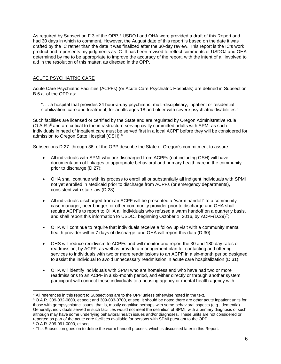As required by Subsection F.3 of the OPP,<sup>[4](#page-5-0)</sup> USDOJ and OHA were provided a draft of this Report and had 30 days in which to comment. However, the August date of this report is based on the date it was drafted by the IC rather than the date it was finalized after the 30-day review. This report is the IC's work product and represents my judgments as IC. It has been revised to reflect comments of USDOJ and OHA determined by me to be appropriate to improve the accuracy of the report, with the intent of all involved to aid in the resolution of this matter, as directed in the OPP.

### ACUTE PSYCHIATRIC CARE

Acute Care Psychiatric Facilities (ACPFs) (or Acute Care Psychiatric Hospitals) are defined in Subsection B.6.a. of the OPP as:

". . . a hospital that provides 24 hour-a-day psychiatric, multi-disciplinary, inpatient or residential stabilization, care and treatment, for adults ages 18 and older with severe psychiatric disabilities."

Such facilities are licensed or certified by the State and are regulated by Oregon Administrative Rule (O.A.R.)[5](#page-5-1) and are critical to the infrastructure serving civilly committed adults with SPMI as such individuals in need of inpatient care must be served first in a local ACPF before they will be considered for admission to Oregon State Hospital (OSH).[6](#page-5-2)

Subsections D.27. through 36. of the OPP describe the State of Oregon's commitment to assure:

- All individuals with SPMI who are discharged from ACPFs (not including OSH) will have documentation of linkages to appropriate behavioral and primary health care in the community prior to discharge (D.27);
- OHA shall continue with its process to enroll all or substantially all indigent individuals with SPMI not yet enrolled in Medicaid prior to discharge from ACPFs (or emergency departments), consistent with state law (D.28);
- All individuals discharged from an ACPF will be presented a "warm handoff" to a community case manager, peer bridger, or other community provider prior to discharge and OHA shall require ACPFs to report to OHA all individuals who refused a warm handoff on a quarterly basis, and shall report this information to USDOJ beginning October 1, 2016, by ACPF(D.29)[7](#page-5-3);
- OHA will continue to require that individuals receive a follow up visit with a community mental health provider within 7 days of discharge, and OHA will report this data (D.30);
- OHS will reduce recidivism to ACPFs and will monitor and report the 30 and 180 day rates of readmission, by ACPF, as well as provide a management plan for contacting and offering services to individuals with two or more readmissions to an ACPF in a six-month period designed to assist the individual to avoid unnecessary readmission in acute care hospitalization (D.31);
- OHA will identify individuals with SPMI who are homeless and who have had two or more readmissions to an ACPF in a six-month period, and either directly or through another system participant will connect these individuals to a housing agency or mental health agency with

<span id="page-5-0"></span><sup>4</sup> All references in this report to Subsections are to the OPP unless otherwise noted in the text.

<span id="page-5-1"></span><sup>5</sup> O.A.R. 309-032-0800, et seq.; and 309-033-0700, et seq. It should be noted there are other acute inpatient units for those with geropsychiatric issues, that is, mostly cognitive perhaps with some behavioral aspects (e.g., dementia). Generally, individuals served in such facilities would not meet the definition of SPMI, with a primary diagnosis of such, although may have some underlying behavioral health issues and/or diagnoses. These units are not considered or reported as part of the acute care facilities available for persons with SPMI pursuant to the OPP. <sup>6</sup> O.A.R. 309-091-0000, et seq.

<span id="page-5-3"></span><span id="page-5-2"></span> $7$  This Subsection goes on to define the warm handoff process, which is discussed later in this Report.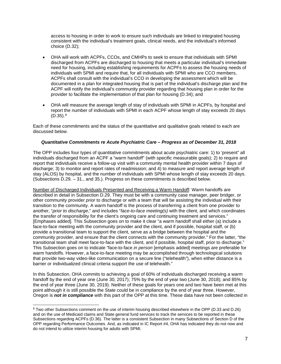access to housing in order to work to ensure such individuals are linked to integrated housing consistent with the individual's treatment goals, clinical needs, and the individual's informed choice (D.32);

- OHA will work with ACPFs, CCOs, and CMHPs to seek to ensure that individuals with SPMI discharged from ACPFs are discharged to housing that meets a particular individual's immediate need for housing, including establishing requirements for ACPFs to assess the housing needs of individuals with SPMI and require that, for all individuals with SPMI who are CCO members, ACPFs shall consult with the individual's CCO in developing the assessment which will be documented in a plan for integrated housing that is part of the individual's discharge plan and the ACPF will notify the individual's community provider regarding that housing plan in order for the provider to facilitate the implementation of that plan for housing (D.34); and
- OHA will measure the average length of stay of individuals with SPMI in ACPFs, by hospital and report the number of individuals with SPMI in each ACPF whose length of stay exceeds 20 days  $(D.35).$ <sup>[8](#page-6-0)</sup>

Each of these commitments and the status of the quantitative and qualitative goals related to each are discussed below.

#### *Quantitative Commitments re Acute Psychiatric Care – Progress as of December 31, 2018*

The OPP includes four types of quantitative commitments about acute psychiatric care: 1) to 'present" all individuals discharged from an ACPF a "warm handoff" (with specific measurable goals); 2) to require and report that individuals receive a follow-up visit with a community mental health provider within 7 days of discharge; 3) to monitor and report rates of readmission; and 4) to measure and report average length of stay (ALOS) by hospital, and the number of individuals with SPMI whose length of stay exceeds 20 days. (Subsections D.29. – 31., and 35.). Progress on these commitments is described below.

Number of Discharged Individuals Presented and Receiving a Warm Handoff: Warm handoffs are described in detail in Subsection D.29. They must be with a community case manager, peer bridger, or other community provider *prior* to discharge or with a team that will be assisting the individual with their transition to the community. A warm handoff is the process of transferring a client from one provider to another, "*prior to discharge*," and includes "*face-to-face meeting(s)* with the client, and which coordinates the transfer of responsibility for the client's ongoing care and continuing treatment and services." [Emphases added]. This Subsection goes on to make it clear "a warm handoff shall either (a) include a face-to-face meeting with the community provider and the client, and if possible, hospital staff, or (b) provide a transitional team to support the client, serve as a bridge between the hospital and the community provider, and ensure that the client connects with the community provider." For the latter, "the transitional team shall meet face-to-face with the client, and if possible, hospital staff, prior to discharge." This Subsection goes on to indicate "face-to-face *in person* [emphasis added] meetings are preferable for warm handoffs. However, a face-to-face meeting may be accomplished through technological solutions that provide two-way video-like communication on a secure line ("telehealth"), when either distance is a barrier or individualized clinical criteria support the use of telehealth."

In this Subsection, OHA commits to achieving a goal of 60% of individuals discharged receiving a warm handoff by the end of year one (June 30, 2017); 75% by the end of year two (June 30, 2018); and 85% by the end of year three (June 30, 2019). Neither of these goals for years one and two have been met at this point although it is still possible the State could be in compliance by the end of year three. However, Oregon is *not in compliance* with this part of the OPP at this time. These data have not been collected in

<span id="page-6-0"></span><sup>8</sup> Two other Subsections comment on the use of interim housing described elsewhere in the OPP (D.33 and D.26) and on the use of Medicaid claims and State general fund services to track the services to be reported in these Subsections regarding ACPFs (D.36). The latter is a consistent Subsection in many Subsections of Section D of the OPP regarding Performance Outcomes. And, as indicated in IC Report #4, OHA has indicated they do not now and do not intend to utilize interim housing for adults with SPMI.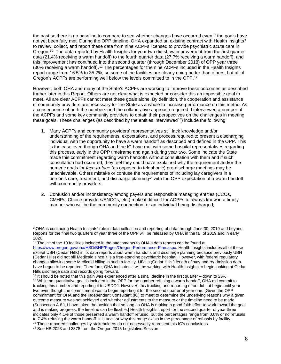the past so there is no baseline to compare to see whether changes have occurred even if the goals have not yet been fully met. During the OPP timeline, OHA expanded an existing contract with Health Insights<sup>[9](#page-7-0)</sup> to review, collect, and report these data from nine ACPFs licensed to provide psychiatric acute care in Oregon.<sup>10</sup> The data reported by Health Insights for year two did show improvement from the first quarter data (21.4% receiving a warm handoff) to the fourth quarter data (27.7% receiving a warm handoff), and this improvement has continued into the second quarter (through December 2018) of OPP year three (30% receiving a warm handoff).[11](#page-7-2) The percentages for the nine ACPFs included in the Health Insights report range from 16.5% to 35.2%, so some of the facilities are clearly doing better than others, but all of Oregon's ACPFs are performing well below the levels committed to in the OPP.[12](#page-7-3)

However, both OHA and many of the State's ACPFs are working to improve these outcomes as described further later in this Report. Others are not clear what is expected or consider this an impossible goal to meet. All are clear ACPFs cannot meet these goals alone. By definition, the cooperation and assistance of community providers are necessary for the State as a whole to increase performance on this metric. As a consequence of both the numbers and the collaborative approach required, I interviewed a number of the ACPFs and some key community providers to obtain their perspectives on the challenges in meeting these goals. These challenges (as described by the entities interviewed<sup>[13](#page-7-4)</sup>) include the following:

- 1. Many ACPFs and community providers' representatives still lack knowledge and/or understanding of the requirements, expectations, and process required to present a discharging individual with the opportunity to have a warm handoff as described and defined in the OPP. This is the case even though OHA and the IC have met with some hospital representatives regarding this process, early in the OPP timeframe and again during year two. Some indicate the State made this commitment regarding warm handoffs without consultation with them and if such consultation had occurred, they feel they could have explained why the requirement and/or the numeric goals for *face-to-face* (as opposed to telephonic) pre-discharge meetings may be unachievable. Others mistake or confuse the requirements of including lay caregivers in a person's care, treatment, and discharge planning<sup>[14](#page-7-5)</sup> with the OPP expectation of a warm handoff with community providers.
- 2. Confusion and/or inconsistency among payers and responsible managing entities (CCOs, CMHPs, Choice providers/ENCCs, etc.) make it difficult for ACPFs to always know in a timely manner who will be the community connection for an individual being discharged;

<span id="page-7-0"></span><sup>9</sup> OHA is continuing Health Insights' role in data collection and reporting of data through June 30, 2019 and beyond. Reports for the final two quarters of year three of the OPP will be released by OHA in the fall of 2019 and in early 2020.

<span id="page-7-1"></span> $10$  The list of the 10 facilities included in the attachments to OHA's data reports can be found at [https://www.oregon.gov/oha/HSD/BHP/Pages/Oregon-Performance-Plan.aspx.](https://www.oregon.gov/oha/HSD/BHP/Pages/Oregon-Performance-Plan.aspx) Health Insights includes all of these except UBH (Cedar Hills) in its data reports about warm handoffs and discharge planning because previously UBH (Cedar Hills) did not bill Medicaid since it is a free-standing psychiatric hospital. However, with federal regulatory changes allowing some Medicaid billing in such a facility, UBH's (Cedar Hills') length of stay and readmission data have begun to be reported. Therefore, OHA indicates it will be working with Health Insights to begin looking at Cedar Hills discharge data and records going forward.<br><sup>11</sup> It should be noted that this gain was experienced after a small decline in the first quarter – down to 26%.

<span id="page-7-3"></span><span id="page-7-2"></span> $12$  While no quantitative goal is included in the OPP for the number refusing a warm handoff, OHA did commit to tracking this number and reporting it to USDOJ. However, this tracking and reporting effort did not begin until year two even though the commitment was to begin reporting it for the second quarter of year one. [Given the OPP commitment for OHA and the Independent Consultant (IC) to meet to determine the underlying reasons why a given outcome measure was not achieved and whether adjustments to the measure or the timeline need to be made (Subsection A.8.), I have taken the position that so long as OHA is making a good faith effort to work toward the goal and is making progress, the timeline can be flexible.] Health Insights' report for the second quarter of year three indicates only 4.1% of those presented a warm handoff refused, but the percentages range from 0.0% or no refusals to 7.4% refusing the warm handoff. It is unclear why this range exists in the percentage of refusals by facility. <sup>13</sup> These reported challenges by stakeholders do not necessarily represent this IC's conclusions.

<span id="page-7-5"></span><span id="page-7-4"></span><sup>14</sup> See HB 2023 and 3378 from the Oregon 2015 Legislative Session.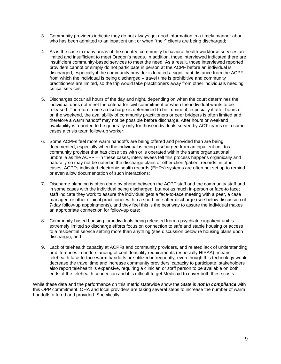- 3. Community providers indicate they do not always get good information in a timely manner about who has been admitted to an inpatient unit or when "their" clients are being discharged;
- 4. As is the case in many areas of the country, community behavioral health workforce services are limited and insufficient to meet Oregon's needs. In addition, those interviewed indicated there are insufficient community-based services to meet the need. As a result, those interviewed reported providers cannot or simply do not participate in person at the ACPF before an individual is discharged, especially if the community provider is located a significant distance from the ACPF from which the individual is being discharged – travel time is prohibitive and community practitioners are limited, so the trip would take practitioners away from other individuals needing critical services;
- 5. Discharges occur all hours of the day and night, depending on when the court determines the individual does not meet the criteria for civil commitment or when the individual wants to be released. Therefore, once a discharge is determined to be imminent, especially if after hours or on the weekend, the availability of community practitioners or peer bridgers is often limited and therefore a warm handoff may not be possible before discharge. After hours or weekend availability is reported to be generally only for those individuals served by ACT teams or in some cases a crisis team follow-up worker;
- 6. Some ACPFs feel more warm handoffs are being offered and provided than are being documented, especially when the individual is being discharged from an inpatient unit to a community provider that has close ties with or is operated within the same organizational umbrella as the ACPF – in these cases, interviewees felt this process happens organically and naturally so may not be noted in the discharge plans or other client/patient records; in other cases, ACPFs indicated electronic health records (EHRs) systems are often not set up to remind or even allow documentation of such interactions;
- 7. Discharge planning is often done by phone between the ACPF staff and the community staff and in some cases with the individual being discharged, but not as much in-person or face-to face; staff indicate they work to assure the individual gets a face-to-face meeting with a peer, a case manager, or other clinical practitioner within a short time after discharge (see below discussion of 7-day follow-up appointments), and they feel this is the best way to assure the individual makes an appropriate connection for follow-up care;
- 8. Community-based housing for individuals being released from a psychiatric inpatient unit is extremely limited so discharge efforts focus on connection to safe and stable housing or access to a residential service setting more than anything (see discussion below re housing plans upon discharge); and
- 9. Lack of telehealth capacity at ACPFs and community providers, and related lack of understanding or differences in understanding of confidentiality requirements (especially HIPAA), means telehealth face-to-face warm handoffs are utilized infrequently, even though this technology would decrease the travel time and increase community providers' capacity to participate; stakeholders also report telehealth is expensive, requiring a clinician or staff person to be available on both ends of the telehealth connection and it is difficult to get Medicaid to cover both these costs.

While these data and the performance on this metric statewide show the State is *not in compliance* with this OPP commitment, OHA and local providers are taking several steps to increase the number of warm handoffs offered and provided. Specifically: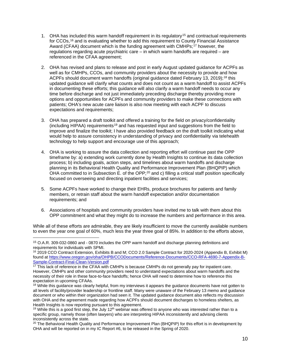- 1. OHA has included this warm handoff requirement in its regulatory<sup>[15](#page-9-0)</sup> and contractual requirements for CCOs, <sup>[16](#page-9-1)</sup> and is evaluating whether to add this requirement to County Financial Assistance Award (CFAA) document which is the funding agreement with CMHPs;<sup>[17](#page-9-2)</sup> however, the regulations regarding acute psychiatric care – in which warm handoffs are required – are referenced in the CFAA agreement;
- 2. OHA has revised and plans to release and post in early August updated guidance for ACPFs as well as for CMHPs, CCOs, and community providers about the necessity to provide and how ACPFs should document warm handoffs (original guidance dated February 13, 2019);<sup>[18](#page-9-3)</sup> this updated guidance will clarify what counts and does not count as a warm handoff to assist ACPFs in documenting these efforts; this guidance will also clarify a warm handoff needs to occur any time before discharge and not just immediately preceding discharge thereby providing more options and opportunities for ACPFs and community providers to make these connections with patients; OHA's new acute care liaison is also now meeting with each ACPF to discuss expectations and requirements:
- 3. OHA has prepared a draft toolkit and offered a training for the field on privacy/confidentiality (including HIPAA) requirements<sup>[19](#page-9-4)</sup> and has requested input and suggestions from the field to improve and finalize the toolkit; I have also provided feedback on the draft toolkit indicating what would help to assure consistency in understanding of privacy and confidentiality via telehealth technology to help support and encourage use of this approach;
- 4. OHA is working to assure the data collection and reporting effort will continue past the OPP timeframe by: a) extending work currently done by Health Insights to continue its data collection process; b) including goals, action steps, and timelines about warm handoffs and discharge planning in its Behavioral Health Quality and Performance Improvement Plan (BHQPIP) which OHA committed to in Subsection E. of the OPP;<sup>[20](#page-9-5)</sup> and c) filling a critical staff position specifically focused on overseeing and directing inpatient facilities and services;
- 5. Some ACPFs have worked to change their EHRs, produce brochures for patients and family members, or retrain staff about the warm handoff expectation and/or documentation requirements; and
- 6. Associations of hospitals and community providers have invited me to talk with them about this OPP commitment and what they might do to increase the numbers and performance in this area.

While all of these efforts are admirable, they are likely insufficient to move the currently available numbers to even the year one goal of 60%, much less the year three goal of 85%. In addition to the efforts above,

<span id="page-9-0"></span><sup>15</sup> O.A.R. 309-032-0860 and - 0870 includes the OPP warm handoff and discharge planning definitions and requirements for individuals with SPMI.

<span id="page-9-1"></span><sup>16</sup> 2019 CCO Contract Extension, Exhibits B and M; CCO 2.0 Sample Contract for 2020-2024 (Appendix B, Exhibit M) found at [https://www.oregon.gov/oha/OHPB/CCODocuments/Reference-Documents/CCO-RFA-4690-7-Appendix-B-](https://www.oregon.gov/oha/OHPB/CCODocuments/Reference-Documents/CCO-RFA-4690-7-Appendix-B-Sample-Contract-Final-Clean-Version.pdf)[Sample-Contract-Final-Clean-Version.pdf](https://www.oregon.gov/oha/OHPB/CCODocuments/Reference-Documents/CCO-RFA-4690-7-Appendix-B-Sample-Contract-Final-Clean-Version.pdf)

<span id="page-9-2"></span><sup>&</sup>lt;sup>17</sup> This lack of reference in the CFAA with CMHPs is because CMHPs do not generally pay for inpatient care. However, CMHPs and other community providers need to understand expectations about warm handoffs and the necessity of their role in these face-to-face handoffs; hence OHA will need to determine how to reference this expectation in upcoming CFAAs.

<span id="page-9-3"></span><sup>&</sup>lt;sup>18</sup> While this guidance was clearly helpful, from my interviews it appears the guidance documents have not gotten to all levels of facility/provider leadership or frontline staff. Many were unaware of the February 13 memo and guidance document or who within their organization had seen it. The updated guidance document also reflects my discussion with OHA and the agreement made regarding how ACPFs should document discharges to homeless shelters, as Health Insights is now reporting pursuant to this agreement.

<span id="page-9-4"></span><sup>&</sup>lt;sup>19</sup> While this is a good first step, the July 12<sup>th</sup> webinar was offered to anyone who was interested rather than to a specific group, namely those (often lawyers) who are interpreting HIPAA inconsistently and advising clients inconsistently across the state.<br><sup>20</sup> The Behavioral Health Quality and Performance Improvement Plan (BHQPIP) for this effort is in development by

<span id="page-9-5"></span>OHA and will be reported on in my IC Report #6, to be released in the Spring of 2020.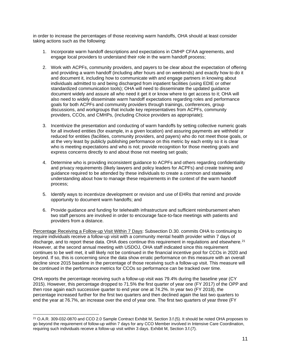in order to increase the percentages of those receiving warm handoffs, OHA should at least consider taking actions such as the following:

- 1. Incorporate warm handoff descriptions and expectations in CMHP CFAA agreements, and engage local providers to understand their role in the warm handoff process;
- 2. Work with ACPFs, community providers, and payers to be clear about the expectation of offering and providing a warm handoff (including after hours and on weekends) and exactly how to do it and document it, including how to communicate with and engage partners in knowing about individuals admitted to and being discharged from inpatient facilities (using EDIE or other standardized communication tools); OHA will need to disseminate the updated guidance document widely and assure all who need it get it or know where to get access to it; OHA will also need to widely disseminate warm handoff expectations regarding roles and performance goals for both ACPFs and community providers through trainings, conferences, group discussions, and workgroups that include key representatives from ACPFs, community providers, CCOs, and CMHPs, (including Choice providers as appropriate);
- 3. Incentivize the presentation and conducting of warm handoffs by setting collective numeric goals for all involved entities (for example, in a given location) and assuring payments are withheld or reduced for entities (facilities, community providers, and payers) who do not meet those goals, or at the very least by publicly publishing performance on this metric by each entity so it is clear who is meeting expectations and who is not; provide recognition for those meeting goals and express concerns directly to and about those not meeting set goals;
- 4. Determine who is providing inconsistent guidance to ACPFs and others regarding confidentiality and privacy requirements (likely lawyers and policy leaders for ACPFs) and create training and guidance required to be attended by these individuals to create a common and statewide understanding about how to manage these requirements in the context of the warm handoff process;
- 5. Identify ways to incentivize development or revision and use of EHRs that remind and provide opportunity to document warm handoffs; and
- 6. Provide guidance and funding for telehealth infrastructure and sufficient reimbursement when two staff persons are involved in order to encourage face-to-face meetings with patients and providers from a distance.

Percentage Receiving a Follow-up Visit Within 7 Days: Subsection D.30. commits OHA to continuing to require individuals receive a follow-up visit with a community mental health provider within 7 days of discharge, and to report these data. OHA does continue this requirement in regulations and elsewhere.<sup>[21](#page-10-0)</sup> However, at the second annual meeting with USDOJ, OHA staff indicated since this requirement continues to be well met, it will likely not be continued in the financial incentive pool for CCOs in 2020 and beyond. If so, this is concerning since the data show erratic performance on this measure with an overall decline since 2015 baseline in the percentage of those receiving such a follow-up visit. This measure will be continued in the performance metrics for CCOs so performance can be tracked over time.

OHA reports the percentage receiving such a follow-up visit was 79.4% during the baseline year (CY 2015). However, this percentage dropped to 71.5% the first quarter of year one (FY 2017) of the OPP and then rose again each successive quarter to end year one at 74.2%. In year two (FY 2018), the percentage increased further for the first two quarters and then declined again the last two quarters to end the year at 76.7%, an increase over the end of year one. The first two quarters of year three (FY

<span id="page-10-0"></span><sup>&</sup>lt;sup>21</sup> O.A.R. 309-032-0870 and CCO 2.0 Sample Contract Exhibit M, Section 3.f.(5). It should be noted OHA proposes to go beyond the requirement of follow-up within 7 days for any CCO Member involved in Intensive Care Coordination, requiring such individuals receive a follow-up visit within 3 days. Exhibit M, Section 3.f.(7).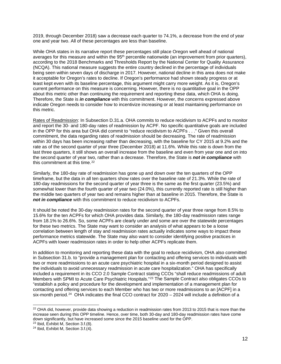2019, through December 2018) saw a decrease each quarter to 74.1%, a decrease from the end of year one and year two. All of these percentages are less than baseline.

While OHA states in its narrative report these percentages still place Oregon well ahead of national averages for this measure and within the 95<sup>th</sup> percentile nationwide (an improvement from prior quarters), according to the 2018 Benchmarks and Thresholds Report by the National Center for Quality Assurance (NCQA). This national measure suggests the entire country declined in the percentage of individuals being seen within seven days of discharge in 2017. However, national decline in this area does not make it acceptable for Oregon's rates to decline. If Oregon's performance had shown steady progress or at least kept even with its baseline percentage, this argument might carry more weight. As it is, Oregon's current performance on this measure is concerning. However, there is no quantitative goal in the OPP about this metric other than continuing the requirement and reporting these data, which OHA is doing. Therefore, the State is *in compliance* with this commitment. However, the concerns expressed above indicate Oregon needs to consider how to incentivize increasing or at least maintaining performance on this metric.

Rates of Readmission: In Subsection D.31.a. OHA commits to reduce recidivism to ACPFs and to monitor and report the 30- and 180-day rates of readmission by ACPF. No specific quantitative goals are included in the OPP for this area but OHA did commit to "reduce recidivism to ACPFs . . ." Given this overall commitment, the data regarding rates of readmission should be decreasing. The rate of readmission within 30 days has been increasing rather than decreasing, with the baseline for CY 2015 at 9.2% and the rate as of the second quarter of year three (December 2018) at 11.6%. While this rate is down from the last three quarters, it still shows an overall increase from the baseline and even from year one and on into the second quarter of year two, rather than a decrease. Therefore, the State is *not in compliance* with this commitment at this time.<sup>[22](#page-11-0)</sup>

Similarly, the 180-day rate of readmission has gone up and down over the ten quarters of the OPP timeframe, but the data in all ten quarters show rates over the baseline rate of 21.3%. While the rate of 180-day readmissions for the second quarter of year three is the same as the first quarter (23.5%) and somewhat lower than the fourth quarter of year two (24.0%), this currently reported rate is still higher than the middle two quarters of year two and remains higher than at baseline in 2015. Therefore, the State is *not in compliance* with this commitment to reduce recidivism to ACPFs.

It should be noted the 30-day readmission rates for the second quarter of year three range from 8.5% to 15.6% for the ten ACPFs for which OHA provides data. Similarly, the 180-day readmission rates range from 18.1% to 26.6%. So, some ACPFs are clearly under and some are over the statewide percentages for these two metrics. The State may want to consider an analysis of what appears to be a loose correlation between length of stay and readmission rates actually indicates some ways to impact these performance metrics statewide. The State may also want to consider identifying positive practices in ACPFs with lower readmission rates in order to help other ACPFs replicate them.

In addition to monitoring and reporting these data with the goal to reduce recidivism, OHA also committed in Subsection 31.b. to "provide a management plan for contacting and offering services to individuals with two or more readmissions to an acute care psychiatric hospital in a six-month period designed to assist the individuals to avoid unnecessary readmission in acute care hospitalization." OHA has specifically included a requirement in its CCO 2.0 Sample Contract stating CCOs "shall reduce readmissions of adult Members with SPMI to Acute Care Psychiatric Hospitals."[23](#page-11-1) The Sample Contract also obligates CCOs to "establish a policy and procedure for the development and implementation of a management plan for contacting and offering services to each Member who has two or more readmissions to an [ACPF] in a six-month period.<sup>[24](#page-11-2)</sup> OHA indicates the final CCO contract for 2020 – 2024 will include a definition of a

<span id="page-11-0"></span><sup>&</sup>lt;sup>22</sup> OHA did, however, provide data showing a reduction in readmission rates from 2013 to 2015 that is more than the increase seen during this OPP timeline. Hence, over time, both 30-day and 180-day readmission rates have come down significantly, but have increased some since the 2015 baseline used for the OPP.

<span id="page-11-1"></span><sup>23</sup> Ibid, Exhibit M, Section 3.f.(8).

<span id="page-11-2"></span><sup>24</sup> Ibid, Exhibit M, Section 3.f.(4).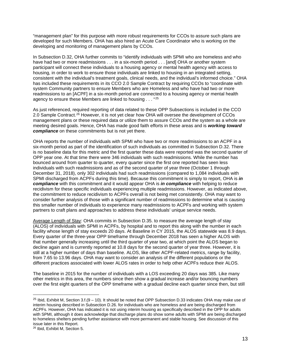"management plan" for this purpose with more robust requirements for CCOs to assure such plans are developed for such Members. OHA has also hired an Acute Care Coordinator who is working on the developing and monitoring of management plans by CCOs.

In Subsection D.32, OHA further commits to "identify individuals with SPMI who are homeless and who have had two or more readmissions . . . in a six-month period . . . [and] OHA or another system participant will connect these individuals to a housing agency or mental health agency with access to housing, in order to work to ensure those individuals are linked to housing in an integrated setting, consistent with the individual's treatment goals, clinical needs, and the individual's informed choice." OHA has included these requirements in its CCO 2.0 Sample Contract by requiring CCOs to "coordinate with system Community partners to ensure Members who are Homeless and who have had two or more readmissions to an [ACPF] in a six-month period are connected to a housing agency or mental health agency to ensure these Members are linked to housing . . . "[25](#page-12-0)

As just referenced, required reporting of data related to these OPP Subsections is included in the CCO 2.0 Sample Contract.<sup>[26](#page-12-1)</sup> However, it is not yet clear how OHA will oversee the development of CCOs management plans or these required data or utilize them to assure CCOs and the system as a whole are meeting desired goals. Hence, OHA has made good faith efforts in these areas and is *working toward compliance* on these commitments but is not yet there.

OHA reports the number of individuals with SPMI who have two or more readmissions to an ACPF in a six-month period as part of the identification of such individuals as committed in Subsection D.32. There is no baseline data for this metric and the first quarter these data were reported was the second quarter of OPP year one. At that time there were 346 individuals with such readmissions. While the number has bounced around from quarter to quarter, every quarter since the first one reported has seen less individuals with such readmissions and as of the second quarter of year three (October 1 through December 31, 2018), only 302 individuals had such readmissions (compared to 1,084 individuals with SPMI discharged from ACPFs during this time). Because this commitment is simply to report, OHA is *in compliance* with this commitment and it would appear OHA is *in compliance* with helping to reduce recidivism for these specific individuals experiencing multiple readmissions. However, as indicated above, the commitment to reduce recidivism to ACPFs overall is not being met consistently. OHA may want to consider further analysis of those with a significant number of readmissions to determine what is causing this smaller number of individuals to experience many readmissions to ACPFs and working with system partners to craft plans and approaches to address these individuals' unique service needs.

Average Length of Stay: OHA commits in Subsection D.35. to measure the average length of stay (ALOS) of individuals with SPMI in ACPFs, by hospital and to report this along with the number in each facility whose length of stay exceeds 20 days. At Baseline in CY 2015, the ALOS statewide was 8.9 days. Every quarter of the three-year OPP timeframe through December 2018 has seen a higher ALOS with that number generally increasing until the third quarter of year two, at which point the ALOS began to decline again and is currently reported at 10.8 days for the second quarter of year three. However, it is still at a higher number of days than baseline. ALOS, like other ACPF-related metrics, range by facility, from 7.65 to 13.96 days. OHA may want to consider an analysis of the different populations or the different practices associated with lower ALOS rates in order to help other ACPFs reduce their ALOS.

The baseline in 2015 for the number of individuals with a LOS exceeding 20 days was 385. Like many other metrics in this area, the numbers since then show a gradual increase and/or bouncing numbers over the first eight quarters of the OPP timeframe with a gradual decline each quarter since then, but still

<span id="page-12-0"></span><sup>&</sup>lt;sup>25</sup> Ibid, Exhibit M, Section  $3.1(9 - 10)$ . It should be noted that OPP Subsection D.33 indicates OHA may make use of interim housing described in Subsection D.26. for individuals who are homeless and are being discharged from ACPFs. However, OHA has indicated it is not using interim housing as specifically described in the OPP for adults with SPMI, although it does acknowledge that discharge plans do show some adults with SPMI are being discharged to homeless shelters pending further assistance with more permanent and stable housing. See discussion of this issue later in this Report.

<span id="page-12-1"></span><sup>26</sup> Ibid, Exhibit M, Section 5.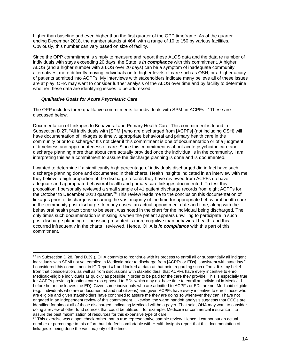higher than baseline and even higher than the first quarter of the OPP timeframe. As of the quarter ending December 2018, the number stands at 464, with a range of 10 to 150 by various facilities. Obviously, this number can vary based on size of facility.

Since the OPP commitment is simply to measure and report these ALOS data and the data re number of individuals with stays exceeding 20 days, the State is *in compliance* with this commitment. A higher ALOS (and a higher number with a LOS over 20 days) can be a symptom of inadequate community alternatives, more difficulty moving individuals on to higher levels of care such as OSH, or a higher acuity of patients admitted into ACPFs. My interviews with stakeholders indicate many believe all of these issues are at play. OHA may want to consider further analysis of the ALOS over time and by facility to determine whether these data are identifying issues to be addressed.

#### *Qualitative Goals for Acute Psychiatric Care*

The OPP includes three qualitative commitments for individuals with SPMI in ACPFs.<sup>[27](#page-13-0)</sup> These are discussed below.

Documentation of Linkages to Behavioral and Primary Health Care: This commitment is found in Subsection D.27. "All individuals with [SPMI] who are discharged from [ACPFs] (not including OSH) will have documentation of linkages to timely, appropriate behavioral and primary health care in the community prior to discharge." It's not clear if this commitment is one of documentation or of a judgment of timeliness and appropriateness of care. Since this commitment is about acute psychiatric care and discharge planning more than about care actually provided once the individual is in the community, I am interpreting this as a commitment to assure the discharge planning is done and is documented.

I wanted to determine if a significantly high percentage of individuals discharged did in fact have such discharge planning done and documented in their charts. Health Insights indicated in an interview with me they believe a high proportion of the discharge records they have reviewed from ACPFs do have adequate and appropriate behavioral health and primary care linkages documented. To test this proposition, I personally reviewed a small sample of 41 patient discharge records from eight ACPFs for the October to December 2018 quarter.<sup>[28](#page-13-1)</sup> This review leads me to the conclusion this documentation of linkages prior to discharge is occurring the vast majority of the time for appropriate behavioral health care in the community post-discharge. In many cases, an actual appointment date and time, along with the behavioral health practitioner to be seen, was noted in the chart for the individual being discharged. The only times such documentation is missing is when the patient appears unwilling to participate in such post-discharge planning or the issue presented is more cognitive than behavioral health, and this occurred infrequently in the charts I reviewed. Hence, OHA is *in compliance* with this part of this commitment.

<span id="page-13-0"></span><sup>&</sup>lt;sup>27</sup> In Subsection D.28. (and D.39.), OHA commits to "continue with its process to enroll all or substantially all indigent individuals with SPMI not yet enrolled in Medicaid prior to discharge from [ACPFs or EDs], consistent with state law." I considered this commitment in IC Report #1 and looked at data at that point regarding such efforts. It is my belief from that consideration, as well as from discussions with stakeholders, that ACPFs have every incentive to enroll Medicaid-eligible individuals as quickly as possible in order to be paid for the care they provide. This is especially true for ACPFs providing inpatient care (as opposed to EDs which may not have time to enroll an individual in Medicaid before he or she leaves the ED). Given some individuals who are admitted to ACPFs or EDs are not Medicaid eligible (e.g., individuals who are undocumented and not citizens) and given ACPFs have every incentive to enroll those who are eligible and given stakeholders have continued to assure me they are doing so whenever they can, I have not engaged in an independent review of this commitment. Likewise, the warm handoff analysis suggests that CCOs are identified for almost all of those discharged, indicating Medicaid will be a payer. That said, OHA may want to consider doing a review of other fund sources that could be utilized – for example, Medicare or commercial insurance – to assure the best maximization of resources for this expensive type of care.

<span id="page-13-1"></span> $28$  This exercise was a spot check rather than a true representative sample review. Hence, I cannot put an actual number or percentage to this effort, but I do feel comfortable with Health Insights report that this documentation of linkages is being done the vast majority of the time.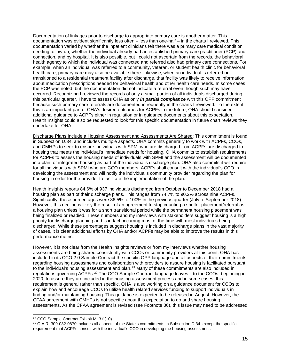Documentation of linkages prior to discharge to appropriate primary care is another matter. This documentation was evident significantly less often – less than one-half – in the charts I reviewed. This documentation varied by whether the inpatient clinicians felt there was a primary care medical condition needing follow-up, whether the individual already had an established primary care practitioner (PCP) and connection, and by hospital. It is also possible, but I could not ascertain from the records, the behavioral health agency to which the individual was connected and referred also had primary care connections. For example, when an individual was referred to a community, veteran, or student health clinic for behavioral health care, primary care may also be available there. Likewise, when an individual is referred or transitioned to a residential treatment facility after discharge, that facility was likely to receive information about medication prescriptions needed for behavioral health and other health care needs. In some cases, the PCP was noted, but the documentation did not indicate a referral even though such may have occurred. Recognizing I reviewed the records of only a small portion of all individuals discharged during this particular quarter, I have to assess OHA as only *in partial compliance* with this OPP commitment because such primary care referrals are documented infrequently in the charts I reviewed. To the extent this is an important part of OHA's desired outcomes for ACPFs in the future, OHA should consider additional guidance to ACPFs either in regulation or in guidance documents about this expectation. Health Insights could also be requested to look for this specific documentation in future chart reviews they undertake for OHA.

Discharge Plans Include a Housing Assessment and Assessments Are Shared: This commitment is found in Subsection D.34. and includes multiple aspects. OHA commits generally to work with ACPFs, CCOs, and CMHPs to seek to ensure individuals with SPMI who are discharged from ACPFs are discharged to housing that meets the individual's immediate needs for housing. OHA commits to establish requirements for ACPFs to assess the housing needs of individuals with SPMI and the assessment will be documented in a plan for integrated housing as part of the individual's discharge plan. OHA also commits it will require for all individuals with SPMI who are CCO members, ACPFs shall consult with the individual's CCO in developing the assessment and will notify the individual's community provider regarding the plan for housing in order for the provider to facilitate the implementation of the plan.

Health Insights reports 84.6% of 937 individuals discharged from October to December 2018 had a housing plan as part of their discharge plans. This ranges from 74.7% to 90.2% across nine ACPFs. Significantly, these percentages were 86.5% to 100% in the previous quarter (July to September 2018). However, this decline is likely the result of an agreement to stop counting a shelter placement/referral as a housing plan unless it was for a short transitional period while the permanent housing placement was being finalized or readied. These numbers and my interviews with stakeholders suggest housing is a high priority for discharge planning and is in fact occurring most of the time with most individuals being discharged. While these percentages suggest housing is included in discharge plans in the vast majority of cases, it is clear additional efforts by OHA and/or ACPFs may be able to improve the results in this performance metric.

However, it is not clear from the Health Insights reviews or from my interviews whether housing assessments are being shared consistently with CCOs or community providers at this point. OHA has included in its CCO 2.0 Sample Contract the specific OPP language and all aspects of their commitments regarding housing assessments and collaboration with providers to assure housing is facilitated pursuant to the individual's housing assessment and plan.<sup>[29](#page-14-0)</sup> Many of these commitments are also included in regulations governing ACPFs.[30](#page-14-1) The CCO Sample Contract language leaves it to the CCOs, beginning in 2020, to assure they are included in the housing assessment process and in some cases, this requirement is general rather than specific. OHA is also working on a guidance document for CCOs to explain how and encourage CCOs to utilize health related services funding to support individuals in finding and/or maintaining housing. This guidance is expected to be released in August. However, the CFAA agreement with CMHPs is not specific about this expectation to do and share housing assessments. As the CFAA agreement is revised (see Footnote 36), this issue may need to be addressed

<span id="page-14-0"></span><sup>29</sup> CCO Sample Contract Exhibit M, 3.f.(10).

<span id="page-14-1"></span><sup>30</sup> O.A.R. 309-032-0870 includes all aspects of the State's commitments in Subsection D.34. except the specific requirement that ACPFs consult with the individual's CCO in developing the housing assessment.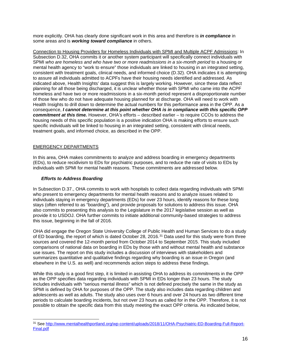more explicitly. OHA has clearly done significant work in this area and therefore is *in compliance* in some areas and is *working toward compliance* in others.

Connection to Housing Providers for Homeless Individuals with SPMI and Multiple ACPF Admissions: In Subsection D.32, OHA commits it or another system participant will specifically connect individuals with SPMI *who are homeless and who have two or more readmissions in a six-month period* to a housing or mental health agency to "work to ensure" those individuals are linked to housing in an integrated setting, consistent with treatment goals, clinical needs, and informed choice (D.32). OHA indicates it is attempting to assure all individuals admitted to ACPFs have their housing needs identified and addressed. As indicated above, Health Insights' data suggest this is largely working. However, since these data reflect planning for all those being discharged, it is unclear whether those with SPMI who came into the ACPF homeless and have two or more readmissions in a six-month period represent a disproportionate number of those few who do not have adequate housing planned for at discharge. OHA will need to work with Health Insights to drill down to determine the actual numbers for this performance area in the OPP. As a consequence, *I cannot determine at this point whether OHA is in compliance with this specific OPP commitment at this time.* However, OHA's efforts – described earlier – to require CCOs to address the housing needs of this specific population is a positive indication OHA is making efforts to ensure such specific individuals will be linked to housing in an integrated setting, consistent with clinical needs, treatment goals, and informed choice, as described in the OPP.

### EMERGENCY DEPARTMENTS

In this area, OHA makes commitments to analyze and address boarding in emergency departments (EDs), to reduce recidivism to EDs for psychiatric purposes, and to reduce the rate of visits to EDs by individuals with SPMI for mental health reasons. These commitments are addressed below.

#### *Efforts to Address Boarding*

In Subsection D.37., OHA commits to work with hospitals to collect data regarding individuals with SPMI who present to emergency departments for mental health reasons and to analyze issues related to individuals staying in emergency departments (EDs) for over 23 hours, identify reasons for these long stays (often referred to as "boarding"), and provide proposals for solutions to address this issue. OHA also commits to presenting this analysis to the Legislature in the 2017 legislative session as well as provide it to USDOJ. OHA further commits to initiate additional community-based strategies to address this issue, beginning in the fall of 2016.

OHA did engage the Oregon State University College of Public Health and Human Services to do a study of ED boarding, the report of which is dated October 28, 2016.<sup>[31](#page-15-0)</sup> Data used for this study were from three sources and covered the 12-month period from October 2014 to September 2015. This study included comparisons of national data on boarding in EDs by those with and without mental health and substance use issues. The report on this study includes a discussion of interviews with stakeholders and summarizes quantitative and qualitative findings regarding why boarding is an issue in Oregon (and elsewhere in the U.S. as well) and recommends action steps to address these findings.

While this study is a good first step, it is limited in assisting OHA to address its commitments in the OPP as the OPP specifies data regarding individuals with SPMI in EDs longer than 23 hours. The study includes individuals with "serious mental illness" which is not defined precisely the same in the study as SPMI is defined by OHA for purposes of the OPP. The study also includes data regarding children and adolescents as well as adults. The study also uses over 6 hours and over 24 hours as two different time periods to calculate boarding incidents, but not over 23 hours as called for in the OPP. Therefore, it is not possible to obtain the specific data from this study meeting the exact OPP criteria. As indicated below,

<span id="page-15-0"></span><sup>31</sup> Se[e http://www.mentalhealthportland.org/wp-content/uploads/2018/11/OHA-Psychiatric-ED-Boarding-Full-Report-](http://www.mentalhealthportland.org/wp-content/uploads/2018/11/OHA-Psychiatric-ED-Boarding-Full-Report-Final.pdf)[Final.pdf](http://www.mentalhealthportland.org/wp-content/uploads/2018/11/OHA-Psychiatric-ED-Boarding-Full-Report-Final.pdf)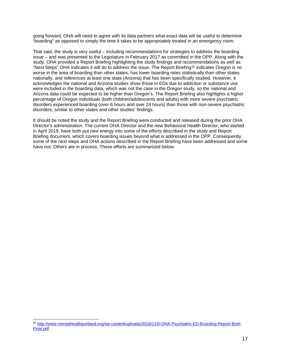going forward, OHA will need to agree with its data partners what exact data will be useful to determine "boarding" as opposed to simply the time it takes to be appropriately treated in an emergency room.

That said, the study is very useful – including recommendations for strategies to address the boarding issue – and was presented to the Legislature in February 2017 as committed in the OPP. Along with the study, OHA provided a Report Briefing highlighting the study findings and recommendations as well as "Next Steps" OHA indicates it will do to address the issue. The Report Briefing<sup>[32](#page-16-0)</sup> indicates Oregon is no worse in the area of boarding than other states, has lower boarding rates statistically than other states nationally, and references at least one state (Arizona) that has been specifically studied. However, it acknowledges the national and Arizona studies show those in EDs due to addiction or substance use were included in the boarding data, which was not the case in the Oregon study, so the national and Arizona data could be expected to be higher than Oregon's. The Report Briefing also highlights a higher percentage of Oregon individuals (both children/adolescents and adults) with more severe psychiatric disorders experienced boarding (over 6 hours and over 24 hours) than those with non-severe psychiatric disorders, similar to other states and other studies' findings.

It should be noted the study and the Report Briefing were conducted and released during the prior OHA Director's administration. The current OHA Director and the new Behavioral Health Director, who started in April 2019, have both put new energy into some of the efforts described in the study and Report Briefing document, which covers boarding issues beyond what is addressed in the OPP. Consequently, some of the next steps and OHA actions described in the Report Briefing have been addressed and some have not. Others are in process. These efforts are summarized below.

<span id="page-16-0"></span><sup>32</sup> [http://www.mentalhealthportland.org/wp-content/uploads/2018/11/0-OHA-Psychiatric-ED-Boarding-Report-Brief-](http://www.mentalhealthportland.org/wp-content/uploads/2018/11/0-OHA-Psychiatric-ED-Boarding-Report-Brief-Final.pdf)[Final.pdf](http://www.mentalhealthportland.org/wp-content/uploads/2018/11/0-OHA-Psychiatric-ED-Boarding-Report-Brief-Final.pdf)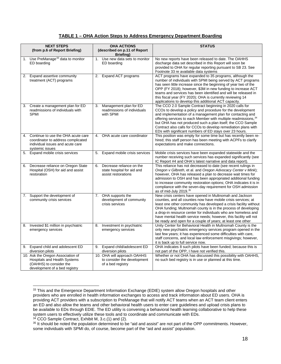### **TABLE 1 – OHA Action Steps to Address Emergency Department Boarding**

|    | <b>NEXT STEPS</b><br>(from p.6 of Report Briefing)                                                                              | <b>OHA ACTIONS</b><br>(described on p.11 of Report<br><b>Briefing</b> )             | <b>STATUS</b>                                                                                                                                                                                                                                                                                                                                                                                                                                                         |
|----|---------------------------------------------------------------------------------------------------------------------------------|-------------------------------------------------------------------------------------|-----------------------------------------------------------------------------------------------------------------------------------------------------------------------------------------------------------------------------------------------------------------------------------------------------------------------------------------------------------------------------------------------------------------------------------------------------------------------|
| 1. | Use PreManage <sup>33</sup> data to monitor<br>ED boarding                                                                      | 1. Use new data sets to monitor<br>ED boarding                                      | No new reports have been released to date. The OAHHS<br>discharge data set described in this Report will soon be<br>provided to OHA for regular reporting pursuant to SB 23. See<br>Footnote 33 re available data systems                                                                                                                                                                                                                                             |
| 2. | Expand assertive community<br>treatment (ACT) programs                                                                          | 2. Expand ACT programs                                                              | ACT programs have expanded to 35 programs, although the<br>number of individuals with SPMI being served by ACT programs<br>has seen little increase since the beginning of year two of the<br>OPP (FY 2018); however, \$3M in new funding to increase ACT<br>teams and services has been identified and will be released in<br>this fiscal year (FY 2020); OHA is currently reviewing 14<br>applications to develop this additional ACT capacity.                     |
| 3. | Create a management plan for ED<br>readmissions of individuals with<br><b>SPMI</b>                                              | 3. Management plan for ED<br>readmissions of individuals<br>with SPMI               | The CCO 2.0 Sample Contract beginning in 2020 calls for<br>CCOs to develop a policy and procedure for the development<br>and implementation of a management plan for contacting and<br>offering services to each Member with multiple readmissions, 34<br>but OHA has not produced such a plan itself; the CCO Sample<br>Contract also calls for CCOs to develop remediation plans with<br>EDs with significant numbers of ED stays over 23 hours.                    |
|    | Continue to use the OHA acute care<br>coordinator to address complicated<br>individual issues and acute care<br>systemic issues | 4. OHA acute care coordinator                                                       | This position was empty for some time but has recently been re-<br>hired; this staff person has been meeting with ACPFs to clarify<br>expectations and make connections.                                                                                                                                                                                                                                                                                              |
|    | 5. Expand mobile crisis services                                                                                                | 5. Expand mobile crisis services                                                    | Mobile crisis services have been expanded statewide and the<br>number receiving such services has expanded significantly (see<br>IC Report #4 and OHA's latest narrative and data report).                                                                                                                                                                                                                                                                            |
| 6. | Decrease reliance on Oregon State<br>Hospital (OSH) for aid and assist<br>restoration                                           | Decrease reliance on the<br>6.<br>state hospital for aid and<br>assist restorations | This reliance has not decreased to date (see recent rulings in<br>Oregon v Gilbreth, et al. and Oregon Advocacy Center v Mink);<br>however, OHA has released a plan to decrease wait times for<br>admission to OSH and has been appropriated additional funding<br>to increase community restoration options; OHA indicates it is in<br>compliance with the seven-day requirement for OSH admission<br>as of mid-July 2019. <sup>35</sup>                             |
| 7. | Support the development of<br>community crisis services                                                                         | 7. OHA supports the<br>development of community<br>crisis services                  | New crisis centers have opened in Multnomah and Jackson<br>counties, and all counties now have mobile crisis services; at<br>least one other community has developed a crisis facility without<br>OHA funding; Multnomah county is in the process of developing<br>a drop-in resource center for individuals who are homeless and<br>have mental health service needs; however, this facility will not<br>be ready and open for a couple of years; at least one other |
| 8. | Invested \$1 million in psychiatric<br>emergency services                                                                       | Investment in psychiatric<br>8.<br>emergency services                               | Unity Center for Behavioral Health in Multnomah County is the<br>only new psychiatric emergency services program opened in the<br>last few years; it has experienced some difficulties with care,<br>staff concerns, and local law enforcement misgivings; however,<br>it is back up to full service now.                                                                                                                                                             |
|    | 9. Expand child and adolescent ED<br>diversion pilots                                                                           | 9. Expand child/adolescent ED<br>diversion pilots                                   | OHA indicates 8 such pilots have been funded; because this is<br>not part of the OPP, I have not verified this.                                                                                                                                                                                                                                                                                                                                                       |
|    | 10. Ask the Oregon Association of<br>Hospitals and Health Systems<br>(OAHHS) to consider the<br>development of a bed registry   | 10. OHA will approach OAHHS<br>to consider the development<br>of a bed registry     | Whether or not OHA has discussed this possibility with OAHHS,<br>no such bed registry is in use or planned at this time.                                                                                                                                                                                                                                                                                                                                              |

<span id="page-17-0"></span><sup>33</sup> This and the Emergence Department Information Exchange (EDIE) system allow Oregon hospitals and other providers who are enrolled in health information exchanges to access and track information about ED users. OHA is providing ACT providers with a subscription to PreManage that will notify ACT teams when an ACT team client enters an ED and also allow the teams and other behavioral health users to enter care guidelines and upload crisis plans to be available to EDs through EDIE. The ED utility is convening a behavioral health learning collaborative to help these system users to effectively utilize these tools and to coordinate and communicate with EDs. <sup>34</sup> CCO Sample Contract, Exhibit M, 3.c.(1) and (2).

<span id="page-17-2"></span><span id="page-17-1"></span><sup>35</sup> It should be noted the population determined to be "aid and assist" are not part of the OPP commitments. However, some individuals with SPMI do, of course, become part of the "aid and assist" population.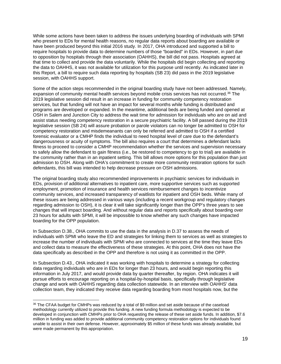While some actions have been taken to address the issues underlying boarding of individuals with SPMI who present to EDs for mental health reasons, no regular data reports about boarding are available or have been produced beyond this initial 2016 study. In 2017, OHA introduced and supported a bill to require hospitals to provide data to determine numbers of those "boarded" in EDs. However, in part due to opposition by hospitals through their association (OAHHS), the bill did not pass. Hospitals agreed at that time to collect and provide the data voluntarily. While the hospitals did begin collecting and reporting the data to OAHHS, it was not available for utilization for this purpose until recently. As indicated later in this Report, a bill to require such data reporting by hospitals (SB 23) did pass in the 2019 legislative session, with OAHHS support.

Some of the action steps recommended in the original boarding study have not been addressed. Namely, expansion of community mental health services beyond mobile crisis services has not occurred.[36](#page-18-0) The 2019 legislative session did result in an increase in funding for community competency restoration services, but that funding will not have an impact for several months while funding is distributed and programs are developed or expanded. In the meantime, additional beds are being funded and opened at OSH in Salem and Junction City to address the wait time for admission for individuals who are on aid and assist status needing competency restoration in a secure psychiatric facility. A bill passed during the 2019 legislative session (SB 24) will assure probation or parole violators can no longer be admitted to OSH for competency restoration and misdemeanants can only be referred and admitted to OSH if a certified forensic evaluator or a CMHP finds the individual to need hospital level of care due to the defendant's dangerousness or acuity of symptoms. The bill also requires a court that determines a defendant lacks fitness to proceed to consider a CMHP recommendation whether the services and supervision necessary to safely allow the defendant to gain fitness (i.e., be restored to competency to go to trial) are available in the community rather than in an inpatient setting. This bill allows more options for this population than just admission to OSH. Along with OHA's commitment to create more community restoration options for such defendants, this bill was intended to help decrease pressure on OSH admissions.

The original boarding study also recommended improvements in psychiatric services for individuals in EDs, provision of additional alternatives to inpatient care, more supportive services such as supported employment, promotion of insurance and health services reimbursement changes to incentivize community services, and increased transparency of waitlists for inpatient and OSH beds. While many of these issues are being addressed in various ways (including a recent workgroup and regulatory changes regarding admission to OSH), it is clear it will take significantly longer than the OPP's three years to see changes that will impact boarding. And without regular data and reports specifically about boarding over 23 hours for adults with SPMI, it will be impossible to know whether any such changes have impacted boarding for the OPP population.

In Subsection D.38., OHA commits to use the data in the analysis in D.37 to assess the needs of individuals with SPMI who leave the ED and strategies for linking them to services as well as strategies to increase the number of individuals with SPMI who are connected to services at the time they leave EDs and collect data to measure the effectiveness of these strategies. At this point, OHA does not have the data specifically as described in the OPP and therefore is not using it as committed in the OPP.

In Subsection D.43., OHA indicated it was working with hospitals to determine a strategy for collecting data regarding individuals who are in EDs for longer than 23 hours, and would begin reporting this information in July 2017, and would provide data by quarter thereafter, by region. OHA indicates it will pursue efforts to encourage reporting on a hospital-by-hospital basis, specifically through legislative change and work with OAHHS regarding data collection statewide. In an interview with OAHHS' data collection team, they indicated they receive data regarding boarding from most hospitals now, but the

<span id="page-18-0"></span><sup>36</sup> The CFAA budget for CMHPs was reduced by a total of \$9 million and set aside because of the caseload methodology currently utilized to provide this funding. A new funding formula methodology is expected to be developed in conjunction with CMHPs prior to OHA requesting the release of these set aside funds. In addition, \$7.6 million in funding was added to provide additional community competency restoration options for individuals found unable to assist in their own defense. However, approximately \$5 million of these funds was already available, but were made permanent by this appropriation.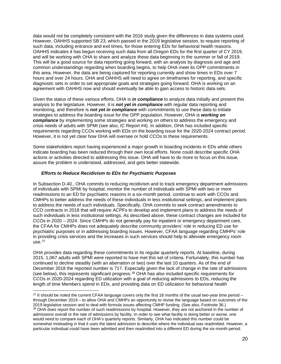data would not be completely consistent with the 2016 study given the differences in data systems used. However, OAHHS supported SB 23, which passed in the 2019 legislative session, to require reporting of such data, including entrance and exit times, for those entering EDs for behavioral health reasons. OAHHS indicates it has begun receiving such data from all Oregon EDs for the first quarter of CY 2019, and will be working with OHA to share and analyze these data beginning in the summer or fall of 2019. This will be a good source for data reporting going forward, with an analysis by diagnosis and age and common understandings regarding when boarding begins, to help OHA meet its OPP commitments in this area. However, the data are being captured for reporting currently and show times in EDs over 7 hours and over 24 hours. OHA and OAHHS will need to agree on timeframes for reporting, and specific diagnostic sets in order to set appropriate goals and strategies going forward. OHA is working on an agreement with OAHHS now and should eventually be able to gain access to historic data sets.

Given the status of these various efforts, OHA is *in compliance* to analyze data initially and present this analysis to the legislature. However, it is *not yet in compliance* with regular data reporting and monitoring, and therefore is *not yet in compliance* with commitments to use these data to initiate strategies to address the boarding issue for the OPP population. However, OHA is *working on compliance* by implementing some strategies and working on others to address the emergency and crisis needs of adults with SPMI (see also, IC Report #4). In addition, OHA has included specific requirements regarding CCOs working with EDs on the boarding issue for the 2020-2024 contract period. However, it is not yet clear how OHA will oversee or hold CCOs to these requirements.

Some stakeholders report having experienced a major growth in boarding incidents in EDs while others indicate boarding has been reduced through their own local efforts. None could describe specific OHA actions or activities directed to addressing this issue. OHA will have to do more to focus on this issue, assure the problem is understood, addressed, and gets better statewide.

#### *Efforts to Reduce Recidivism to EDs for Psychiatric Purposes*

In Subsection D.40., OHA commits to reducing recidivism and to track emergency department admissions of individuals with SPMI by hospital, monitor the number of individuals with SPMI with two or more readmissions to an ED for psychiatric reasons in a six-month period, continue to work with CCOs and CMHPs to better address the needs of these individuals in less institutional settings, and implement plans to address the needs of such individuals. Specifically, OHA commits to seek contract amendments to CCO contracts in 2018 that will require ACPFs to develop and implement plans to address the needs of such individuals in less institutional settings. As described above, these contract changes are included for CCOs in 2020 – 2024. Since CMHPs do not generally pay for inpatient or emergency department care, the CFAA for CMHPs does not adequately describe community providers' role in reducing ED use for psychiatric purposes or in addressing boarding issues. However, CFAA language regarding CMHPs' role in providing crisis services and the increases in such services should help to alleviate emergency room  $use.<sup>37</sup>$  $use.<sup>37</sup>$  $use.<sup>37</sup>$ 

OHA provides data regarding these commitments in its regular quarterly reports. At baseline, during 2015, 1,067 adults with SPMI were reported to have met this set of criteria. Fortunately, this number has continued to decline steadily (with an aberration or two) over the last 10 quarters. As of the end of December 2018 the reported number is 717. Especially given the lack of change in the rate of admissions (see below), this represents significant progress.[38](#page-19-1) OHA has also included specific requirements for CCOs in 2020-2024 regarding ED utilization with a goal of reducing admissions to EDs, reducing the length of time Members spend in EDs, and providing data on ED utilization for behavioral health

<span id="page-19-1"></span><span id="page-19-0"></span> $37$  It should be noted the current CFAA language covers only the first 18 months of the usual two-year time period – through December 2019 – to allow OHA and CMHPs an opportunity to revise the language based on outcomes of the 2019 legislative session and to deal with formula issues affecting CMHP funding. (See also, Footnote 36.) 38 OHA does report the number of such readmissions by hospital. However, they are not anchored in the number of admissions overall or the rate of admissions by facility. In order to see what facility is doing better or worse, one would need to compare each of OHA's quarterly reports. Similarly, OHA has indicated this number could be somewhat misleading in that it uses the latest admission to describe where the individual was readmitted. However, a particular individual could have been admitted and then readmitted into a different ED during the six-month period.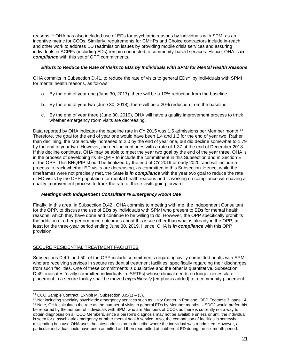reasons.[39](#page-20-0) OHA has also included use of EDs for psychiatric reasons by individuals with SPMI as an incentive metric for CCOs. Similarly, requirements for CMHPs and Choice contractors include in-reach and other work to address ED readmission issues by providing mobile crisis services and assuring individuals in ACPFs (including EDs) remain connected to community-based services. Hence, OHA is *in compliance* with this set of OPP commitments.

#### *Efforts to Reduce the Rate of Visits to EDs by Individuals with SPMI for Mental Health Reasons*

OHA commits in Subsection D.41. to reduce the rate of visits to general EDs<sup>[40](#page-20-1)</sup> by individuals with SPMI for mental health reasons, as follows:

- a. By the end of year one (June 30, 2017), there will be a 10% reduction from the baseline.
- b. By the end of year two (June 30, 2018), there will be a 20% reduction from the baseline.
- c. By the end of year three (June 30, 2019), OHA will have a quality improvement process to track whether emergency room visits are decreasing.

Data reported by OHA indicates the baseline rate in CY 2015 was 1.5 admissions per Member month.<sup>[41](#page-20-2)</sup> Therefore, the goal for the end of year one would have been 1.4 and 1.2 for the end of year two. Rather than declining, the rate actually increased to 2.0 by the end of year one, but did decline somewhat to 1.79 by the end of year two. However, the decline continues with a rate of 1.37 at the end of December 2018. If this decline continues, OHA may be able to meet the year two goal by the end of the year three. OHA is in the process of developing its BHQPIP to include the commitment in this Subsection and in Section E. of the OPP. This BHQPIP should be finalized by the end of CY 2019 or early 2020, and will include a process to track whether ED visits are decreasing, as committed in this Subsection. Hence, while the timeframes were not precisely met, the State is *in compliance* with the year two goal to reduce the rate of ED visits by the OPP population for mental health reasons and is working on compliance with having a quality improvement process to track the rate of these visits going forward.

#### *Meetings with Independent Consultant re Emergency Room Use*

Finally, in this area, in Subsection D.42., OHA commits to meeting with me, the Independent Consultant for the OPP, to discuss the use of EDs by individuals with SPMI who present to EDs for mental health reasons, which they have done and continue to be willing to do. However, the OPP specifically prohibits the addition of other performance outcomes about this issue other than what is already in the OPP, at least for the three-year period ending June 30, 2019. Hence, OHA is *in compliance* with this OPP provision.

# SECURE RESIDENTIAL TREATMENT FACILITIES

Subsections D.49. and 50. of the OPP include commitments regarding civilly committed adults with SPMI who are receiving services in secure residential treatment facilities, specifically regarding their discharges from such facilities. One of these commitments is qualitative and the other is quantitative. Subsection D.49. indicates "civilly committed individuals in [SRTFs] whose clinical needs no longer necessitate placement in a secure facility shall be moved *expeditiously* [emphasis added] to a community placement

<span id="page-20-0"></span> $39$  CCO Sample Contract, Exhibit M, Subsection 3.c.(1) – (3).

<span id="page-20-2"></span><span id="page-20-1"></span><sup>40</sup> Not including specialty psychiatric emergency services such as Unity Center in Portland. OPP Footnote 3, page 14. <sup>41</sup> Note, OHA calculates the rate as the number of visits to general EDs by Member months. USDOJ would prefer this be reported by the number of individuals with SPMI who are Members of CCOs as there is currently not a way to obtain diagnoses on all CCO Members, since a person's diagnosis may not be available unless or until the individual is seen for a psychiatric emergency or other mental health service. Also, the comparison of facilities is somewhat misleading because OHA uses the latest admission to describe where the individual was readmitted. However, a particular individual could have been admitted and then readmitted at a different ED during the six-month period.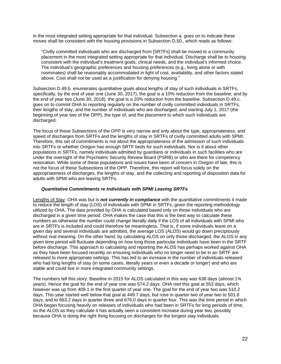in the most integrated setting appropriate for that individual. Subsection a. goes on to indicate these moves shall be consistent with the housing provisions in Subsection D.50., which reads as follows:

"Civilly committed individuals who are discharged from [SRTFs] shall be moved to a community placement in the most integrated setting appropriate for that individual. Discharge shall be to housing consistent with the individual's treatment goals, clinical needs, and the individual's informed choice. The individual's geographic preferences and housing preferences (e.g., living alone or with roommates) shall be reasonably accommodated in light of cost, availability, and other factors stated above. Cost shall not be used as a justification for denying housing."

Subsection D.49.b. enumerates quantitative goals about lengths of stay of such individuals in SRTFs, specifically, by the end of year one (June 30, 2017), the goal is a 10% reduction from the baseline; and by the end of year two (June 30, 2018), the goal is a 20% reduction from the baseline. Subsection D.49.c. goes on to commit OHA to reporting regularly on the number of civilly committed individuals in SRTFs, their lengths of stay, and the number of individuals who are discharged; and starting July 1, 2017 (the beginning of year two of the OPP), the type of, and the placement to which such individuals are discharged.

The focus of these Subsections of the OPP is very narrow and only about the type, appropriateness, and speed of discharges from SRTFs and the lengths of stay in SRTFs of civilly committed adults with SPMI. Therefore, this set of commitments is not about the appropriateness of the admission of such individuals into SRTFs or whether Oregon has enough SRTF beds for such individuals. Nor is it about other populations in SRTFs, namely individuals admitted by guardians or individuals in such facilities who are under the oversight of the Psychiatric Security Review Board (PSRB) or who are there for competency restoration. While some of these populations and issues have been of concern in Oregon of late, this is not the focus of these Subsections of the OPP. Therefore, this report will focus solely on the appropriateness of discharges, the lengths of stay, and the collecting and reporting of disposition data for adults with SPMI who are leaving SRTFs.

#### *Quantitative Commitments re Individuals with SPMI Leaving SRTFs*

Lengths of Stay: OHA was but is *not currently in compliance* with the quantitative commitments it made to reduce the length of stay (LOS) of individuals with SPMI in SRTFs, given the reporting methodology utilized by OHA. The data provided by OHA is calculated based only on those individuals who are discharged in a given time period. OHA makes the case that this is the best way to calculate these numbers as otherwise the number could change literally daily if the LOS of all individuals with SPMI who are in SRTFs is included and could therefore be meaningless. That is, if some individuals leave on a given day and several individuals are admitted, the average LOS (ALOS) would go down precipitously without real meaning. On the other hand, by calculating ALOS on only those discharged, the ALOS in any given time period will fluctuate depending on how long those particular individuals have been in the SRTF before discharge. This approach to calculating and reporting the ALOS has perhaps worked against OHA as they have been focused recently on ensuring individuals who no longer need to be in an SRTF are released to more appropriate settings. This has led to an increase in the number of individuals released who had long lengths of stay (in some cases, literally years or even a decade or longer) and who are stable and could live in more integrated community settings.

The numbers tell this story. Baseline in 2015 for ALOS calculated in this way was 638 days (almost 1¾ years). Hence the goal for the end of year one was 574.2 days. OHA met this goal at 553 days, which however was up from 409.1 in the first quarter of year one. The goal for the end of year two was 510.2 days. This year started well below that goal at 449.7 days, but rose in quarter two of year two to 501.8 days, and to 663.2 days in quarter three and 676.0 days in quarter four. This was the time period in which OHA began focusing heavily on releases of individuals who had been in SRTFs for long periods of time, so the ALOS as they calculate it has actually seen a consistent increase during year two, possibly because OHA is doing the right thing focusing on discharges for the longest stay individuals.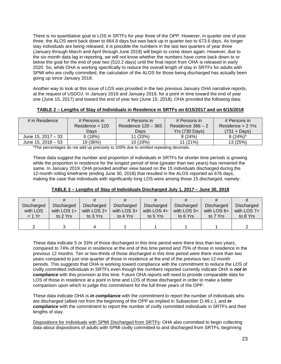There is no quantitative goal re LOS in SRTFs for year three of the OPP. However, in quarter one of year three, the ALOS went back down to 664.8 days but was back up in quarter two to 673.6 days. As longer stay individuals are being released, it is possible the numbers in the last two quarters of year three (January through March and April through June 2019) will begin to come down again. However, due to the six-month data lag in reporting, we will not know whether the numbers have come back down to or below the goal for the end of year two (510.2 days) until the final report from OHA is released in early 2020. So, while OHA is working specifically to reduce the overall length of stay in SRTFs for adults with SPMI who are civilly committed, the calculation of the ALOS for those being discharged has actually been going up since January 2018.

Another way to look at this issue of LOS was provided in the two previous January OHA narrative reports, at the request of USDOJ. In January 2018 and January 2019, for a point in time toward the end of year one (June 15, 2017) and toward the end of year two (June 15, 2018), OHA provided the following data:

### **TABLE 2 – Lengths of Stay of Individuals in Residence in SRTFs on 6/15/2017 and on 6/15/2018**

| # in Residence     | # Persons in      | # Persons in        | # Persons in      | # Persons in      |
|--------------------|-------------------|---------------------|-------------------|-------------------|
|                    | Residence $<$ 120 | Residence 120 - 365 | Residence 366 – 2 | Residence > 2 Yrs |
|                    | Davs              | Davs                | Yrs (730 Days)    | (731 + Days)      |
| June 15, 2017 - 33 | 6(18%)            | 11 (33%)            | 8(24%)            | $8(24%)^*$        |
| June 15, 2018 – 53 | 19 (36%)          | 10 (19%)            | 11(21%)           | 13(25%)           |

\*The percentages do not add up precisely to 100% due to omitted repeating decimals.

These data suggest the number and proportion of individuals in SRTFs for shorter time periods is growing while the proportion in residence for the longest period of time (greater than two years) has remained the same. In January 2019, OHA provided another view based on the 15 individuals discharged during the 12-month rolling timeframe (ending June 30, 2018) that resulted in the ALOS reported as 676 days, making the case that individuals with significantly long LOS were among those 15 discharged, namely:

| #          |               |                 |             |                   |               |               |                   |
|------------|---------------|-----------------|-------------|-------------------|---------------|---------------|-------------------|
| Discharged | Discharged    | Discharged      | Discharged  | <b>Discharged</b> | Discharged    | Discharged    | <b>Discharged</b> |
| with LOS   | with LOS $1+$ | with $LOS$ $2+$ | with LOS 3+ | with LOS $4+$     | with LOS $5+$ | with LOS $6+$ | with LOS $7+$     |
| < 1 Yr     | to 2 Yrs      | to 3 Yrs        | to 4 Yrs    | to 5 Yrs          | to 6 Yrs      | to 7 Yrs      | to 8 Yrs          |
|            |               |                 |             |                   |               |               |                   |
|            |               |                 |             |                   |               |               |                   |

These data indicate 5 or 33% of those discharged in this time period were there less than two years, compared to 74% of those in residence at the end of this time period and 75% of those in residence in the previous 12 months. Ten or two-thirds of those discharged in this time period were there more than two years compared to just one-quarter of those in residence at the end of the previous two 12-month periods. This suggests that OHA is working toward compliance with the commitment to reduce the LOS of civilly committed individuals in SRTFs even though the numbers reported currently indicate OHA is *not in compliance* with this provision at this time. Future OHA reports will need to provide comparable data for LOS of those in residence at a point in time and LOS of those discharged in order to make a better comparison upon which to judge this commitment for the full three years of the OPP.

These data indicate OHA is *in compliance* with the commitment to report the number of individuals who are discharged (albeit not from the beginning of the OPP as implied in Subsection D.49.c.), and *in compliance* with the commitment to report the number of civilly committed individuals in SRTFs and their lengths of stay.

Dispositions for Individuals with SPMI Discharged from SRTFs: OHA also committed to begin collecting data about dispositions of adults with SPMI civilly committed to and discharged from SRTFs, beginning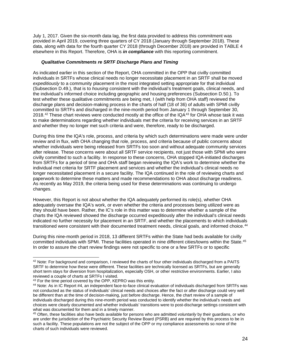July 1, 2017. Given the six-month data lag, the first data provided to address this commitment was provided in April 2019, covering three quarters of CY 2018 (January through September 2018). These data, along with data for the fourth quarter CY 2018 (through December 2018) are provided in TABLE 4 elsewhere in this Report. Therefore, OHA is *in compliance* with this reporting commitment.

#### *Qualitative Commitments re SRTF Discharge Plans and Timing*

As indicated earlier in this section of the Report, OHA committed in the OPP that civilly committed individuals in SRTFs whose clinical needs no longer necessitate placement in an SRTF shall be moved *expeditiously* to a community placement in the most integrated setting appropriate for that individual (Subsection D.49.), that is to *housing* consistent with the individual's treatment goals, clinical needs, and the individual's informed choice including geographic and housing preferences (Subsection D.50.). To test whether these qualitative commitments are being met, I (with help from OHA staff) reviewed the discharge plans and decision-making process in the charts of half (18 of 36) of adults with SPMI civilly committed to SRTFs and discharged in the nine-month period from January 1 through September 30, 2018.<sup>[42](#page-23-0)</sup> These chart reviews were conducted mostly at the office of the IQA $43$  for OHA whose task it was to make determinations regarding whether individuals met the criteria for receiving services in an SRTF and whether they no longer met such criteria and were, therefore, ready to be discharged.

During this time the IQA's role, process, and criteria by which such determinations were made were under review and in flux, with OHA changing that role, process, and criteria because of public concerns about whether individuals were being released from SRTFs too soon and without adequate community services after release. These concerns were about all SRTF service recipients, not just those with SPMI who were civilly committed to such a facility. In response to these concerns, OHA stopped IQA-initiated discharges from SRTFs for a period of time and OHA staff began reviewing the IQA's work to determine whether the individual met criteria for SRTF placement and services and whether the individual's clinical needs no longer necessitated placement in a secure facility. The IQA continued in the role of reviewing charts and paperwork to determine these matters and made recommendations to OHA about discharge readiness. As recently as May 2019, the criteria being used for these determinations was continuing to undergo changes.

However, this Report is not about whether the IQA adequately performed its role(s), whether OHA adequately oversaw the IQA's work, or even whether the criteria and processes being utilized were as they should have been. Rather, the IC's role in this matter was to determine whether a sample of the charts the IQA reviewed showed the discharge occurred expeditiously after the individual's clinical needs indicated no further necessity for placement in an SRTF, and whether the placements to which individuals transitioned were consistent with their documented treatment needs, clinical goals, and informed choice.<sup>[44](#page-23-2)</sup>

During this nine-month period in 2018, 13 different SRTFs within the State had beds available for civilly committed individuals with SPMI. These facilities operated in nine different cities/towns within the State.[45](#page-23-3) In order to assure the chart review findings were not specific to one or a few SRTFs or to specific

<span id="page-23-0"></span><sup>42</sup> Note: For background and comparison, I reviewed the charts of four other individuals discharged from a PAITS SRTF to determine how these were different. These facilities are technically licensed as SRTFs, but are generally short term stays for diversion from hospitalization, especially OSH, or other restrictive environments. Earlier, I also reviewed a couple of charts at SRTFs I visited.

<span id="page-23-1"></span><sup>&</sup>lt;sup>43</sup> For the time period covered by the OPP, KEPRO was this entity.

<span id="page-23-2"></span><sup>44</sup> Note: As in IC Report #4, an independent face-to-face clinical evaluation of individuals discharged from SRTFs was not conducted as the status of individuals' clinical needs and choices after the fact or after discharge could very well be different than at the time of decision-making, just before discharge. Hence, the chart review of a sample of individuals discharged during this nine-month period was conducted to identify whether the individual's needs and choices were clearly documented and whether individuals' transitions were to post-discharge settings consistent with what was documented for them and in a timely manner.

<span id="page-23-3"></span><sup>45</sup> Often, these facilities also have beds available for persons who are admitted *voluntarily* by their guardians, or who are under the jurisdiction of the Psychiatric Security Review Board (PSRB) and are required by this process to be in such a facility. These populations are not the subject of the OPP or my compliance assessments so none of the charts of such individuals were reviewed.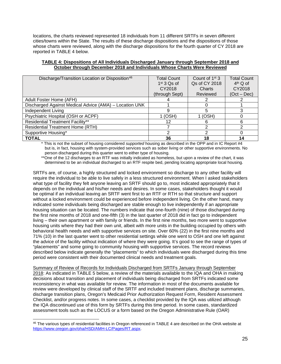locations, the charts reviewed represented 18 individuals from 11 different SRTFs in seven different cities/towns within the State. The results of these discharge dispositions and the dispositions of those whose charts were reviewed, along with the discharge dispositions for the fourth quarter of CY 2018 are reported in TABLE 4 below.

| TABLE 4: Dispositions of All Individuals Discharged January through September 2018 and |  |
|----------------------------------------------------------------------------------------|--|
| October through December 2018 and Individuals Whose Charts Were Reviewed               |  |

| Discharge/Transition Location or Disposition <sup>46</sup> | <b>Total Count</b><br>$1st$ 3 Qs of | Count of $1st$ 3<br>Qs of CY 2018 | <b>Total Count</b><br>$4th$ Q of |
|------------------------------------------------------------|-------------------------------------|-----------------------------------|----------------------------------|
|                                                            | CY2018                              | Charts                            | CY2018                           |
|                                                            | (through Sept)                      | Reviewed                          | $(Oct - Dec)$                    |
| Adult Foster Home (AFH)                                    |                                     |                                   |                                  |
| Discharged Against Medical Advice (AMA) - Location UNK     |                                     |                                   |                                  |
| Independent Living                                         | 9                                   | 5                                 |                                  |
| Psychiatric Hospital (OSH or ACPF)                         | $1$ (OSH)                           | 1 (OSH)                           |                                  |
| <b>Residential Treatment Facility**</b>                    | 12                                  | 6                                 | ิค                               |
| <b>Residential Treatment Home (RTH)</b>                    |                                     | າ                                 |                                  |
| Supportive Housing*                                        | 2                                   | 2                                 |                                  |
| <b>TOTAL</b>                                               | 36                                  | 18                                | 14                               |

\* This is not the subset of housing considered *supported* housing as described in the OPP and in IC Report #4 but is, in fact, housing with system-provided services such as sober living or other supportive environments. No person discharged during this quarter went to either type of housing.

\*\*One of the 12 discharges to an RTF was initially indicated as homeless, but upon a review of the chart, it was determined to be an individual discharged to an RTF respite bed, pending locating appropriate local housing.

SRTFs are, of course, a highly structured and locked environment so discharge to any other facility will require the individual to be able to live safely in a less structured environment. When I asked stakeholders what type of facility they felt anyone leaving an SRTF should go to, most indicated appropriately that it depends on the individual and his/her needs and desires. In some cases, stakeholders thought it would be optimal if an individual leaving an SRTF went first to an RTF or RTH so that structure and support without a locked environment could be experienced before independent living. On the other hand, many indicated some individuals being discharged are stable enough to live independently if an appropriate housing situation can be located. The numbers indicate that one-fourth (nine) of those discharged during the first nine months of 2018 and one-fifth (3) in the last quarter of 2018 did in fact go to independent living – their own apartment or with family or friends. In the first nine months, two more went to supportive housing units where they had their own unit, albeit with more units in the building occupied by others with behavioral health needs and with supportive services on site. Over 60% (22) in the first nine months and 71% (10) in the last quarter went to other residential settings while one went to OSH and one left against the advice of the facility without indication of where they were going. It's good to see the range of types of "placements" and some going to community housing with supportive services. The record reviews described below indicate generally the "placements" to which individuals were discharged during this time period were consistent with their documented clinical needs and treatment goals.

Summary of Review of Records for Individuals Discharged from SRTFs January through September 2018: As indicated in TABLE 5 below, a review of the materials available to the IQA and OHA in making decisions about transition and placement of individuals being discharged from SRTFs indicated some inconsistency in what was available for review. The information in most of the documents available for review were developed by clinical staff of the SRTF and included treatment plans, discharge summaries, discharge transition plans, Oregon's Medicaid Prior Authorization Request Form, Resident Assessment Checklist, and/or progress notes. In some cases, a checklist provided by the IQA was utilized although the IQA discontinued use of this form by SRTFs during this time period. In some cases, standardized assessment tools such as the LOCUS or a form based on the Oregon Administrative Rule (OAR)

<span id="page-24-0"></span><sup>46</sup> The various types of residential facilities in Oregon referenced in TABLE 4 are described on the OHA website at [https://www.oregon.gov/oha/HSD/AMH-LC/Pages/RT.aspx.](https://www.oregon.gov/oha/HSD/AMH-LC/Pages/RT.aspx)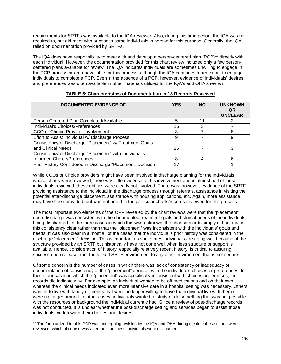requirements for SRTFs was available to the IQA reviewer. Also, during this time period, the IQA was not required to, but did meet with or assess some individuals in person for this purpose. Generally, the IQA relied on documentation provided by SRTFs.

The IQA does have responsibility to meet with and develop a person-centered plan (PCP)<sup>[47](#page-25-0)</sup> directly with each individual. However, the documentation provided for this chart review included only a few personcentered plans available for review. The IQA indicates individuals are sometimes unwilling to engage in the PCP process or are unavailable for this process, although the IQA continues to reach out to engage individuals to complete a PCP. Even in the absence of a PCP, however, evidence of individuals' desires and preferences was often available in other materials utilized for the IQA's and OHA's review.

| <b>DOCUMENTED EVIDENCE OF </b>                             | <b>YES</b> | <b>NO</b> | <b>UNKNOWN</b><br><b>OR</b><br><b>UNCLEAR</b> |
|------------------------------------------------------------|------------|-----------|-----------------------------------------------|
| Person Centered Plan Completed/Available                   | 5          | 11        |                                               |
| Individual's Choices/Preferences                           | 15         |           |                                               |
| CCO or Choice Provider Involvement                         |            |           | 8                                             |
| Effort to Assist Individual w/ Discharge Process           | 9          |           | 9                                             |
| Consistency of Discharge "Placement" w/ Treatment Goals    |            |           |                                               |
| and Clinical Needs                                         | 15         |           |                                               |
| Consistency of Discharge "Placement" with Individual's     |            |           |                                               |
| <b>Informed Choice/Preferences</b>                         | 8          | 4         | 6                                             |
| Prior History Considered in Discharge "Placement" Decision |            |           |                                               |

#### **TABLE 5: Characteristics of Documentation in 18 Records Reviewed**

While CCOs or Choice providers might have been involved in discharge planning for the individuals whose charts were reviewed, there was little evidence of this involvement and in almost half of those individuals reviewed, these entities were clearly not involved. There was, however, evidence of the SRTF providing assistance to the individual in the discharge process through referrals, assistance in visiting the potential after-discharge placement, assistance with housing applications, etc. Again, more assistance may have been provided, but was not noted in the particular charts/records reviewed for this process.

The most important two elements of the OPP revealed by the chart reviews were that the "placement" upon discharge was consistent with the documented treatment goals and clinical needs of the individuals being discharged. In the three cases in which this was unknown, the charts/records simply did not make this consistency clear rather than that the "placement" was inconsistent with the individuals' goals and needs. It was also clear in almost all of the cases that the individual's prior history was considered in the discharge "placement" decision. This is important as sometimes individuals are doing well because of the structure provided by an SRTF but historically have not done well when less structure or support is available. Hence, consideration of history, especially relatively recent history, is critical to assuring success upon release from the locked SRTF environment to any other environment that is not secure.

Of some concern is the number of cases in which there was lack of consistency or inadequacy of documentation of consistency of the "placement" decision with the individual's choices or preferences. In those four cases in which the "placement" was specifically inconsistent with choices/preferences, the records did indicate why. For example, an individual wanted to be off medications and on their own, whereas the clinical needs indicated even more intensive care in a hospital setting was necessary. Others wanted to live with family or friends that were no longer willing to have the individual live with them or were no longer around. In other cases, individuals wanted to study or do something that was not possible with the resources or background the individual currently had. Since a review of post-discharge records was not conducted, it is unclear whether the post-discharge setting and services began to assist those individuals work toward their choices and desires.

<span id="page-25-0"></span><sup>&</sup>lt;sup>47</sup> The form utilized for this PCP was undergoing revision by the IQA and OHA during the time these charts were reviewed, which of course was after the time these individuals were discharged.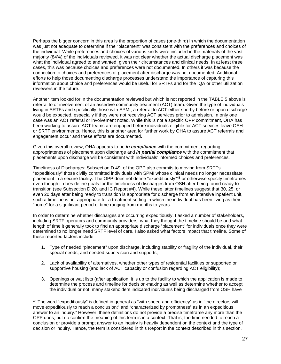Perhaps the bigger concern in this area is the proportion of cases (one-third) in which the documentation was just not adequate to determine if the "placement" was consistent with the preferences and choices of the individual. While preferences and choices of various kinds were included in the materials of the vast majority (84%) of the individuals reviewed, it was not clear whether the actual discharge placement was what the individual agreed to and wanted, given their circumstances and clinical needs. In at least three cases, this was because choices and preferences were not documented. In others it was because the connection to choices and preferences of placement after discharge was not documented. Additional efforts to help those documenting discharge processes understand the importance of capturing this information about choice and preferences would be useful for SRTFs and for the IQA or other utilization reviewers in the future.

Another item looked for in the documentation reviewed but which is not reported in the TABLE 5 above is referral to or involvement of an assertive community treatment (ACT) team. Given the type of individuals living in SRTFs and specifically those with SPMI, a referral to ACT either shortly before or upon discharge would be expected, especially if they were not receiving ACT services prior to admission. In only one case was an ACT referral or involvement noted. While this is not a specific OPP commitment, OHA has been working to assure ACT teams are engaged before individuals eligible for ACT services leave OSH or SRTF environments. Hence, this is another area for further work by OHA to assure ACT referrals and engagement occur and these efforts are documented.

Given this overall review, OHA appears to be *in compliance* with the commitment regarding appropriateness of placement upon discharge and *in partial compliance* with the commitment that placements upon discharge will be consistent with individuals' informed choices and preferences.

Timeliness of Discharges: Subsection D.49. of the OPP also commits to moving from SRTFs "expeditiously" those civilly committed individuals with SPMI whose clinical needs no longer necessitate placement in a secure facility. The OPP does not define "expeditiously"[48](#page-26-0) or otherwise specify timeframes even though it does define goals for the timeliness of discharges from OSH after being found ready to transition (see Subsection D.20. and IC Report #4). While these latter timelines suggest that 30, 25, or even 20 days after being ready to transition is appropriate for discharge from an intensive inpatient unit, such a timeline is not appropriate for a treatment setting in which the individual has been living as their "home" for a significant period of time ranging from months to years.

In order to determine whether discharges are occurring expeditiously, I asked a number of stakeholders, including SRTF operators and community providers, what they thought the timeline should be and what length of time it generally took to find an appropriate discharge "placement" for individuals once they were determined to no longer need SRTF level of care. I also asked what factors impact that timeline. Some of these reported factors include:

- 1. Type of needed "placement" upon discharge, including stability or fragility of the individual, their special needs, and needed supervision and supports;
- 2. Lack of availability of alternatives, whether other types of residential facilities or supported or supportive housing (and lack of ACT capacity or confusion regarding ACT eligibility);
- 3. Openings or wait lists (after application, it is up to the facility to which the application is made to determine the process and timeline for decision-making as well as determine whether to accept the individual or not; many stakeholders indicated individuals being discharged from OSH have

<span id="page-26-0"></span><sup>48</sup> The word "expeditiously" is defined in general as "with speed and efficiency" as in "the directors will move expeditiously to reach a conclusion;" and "characterized by promptness" as in an expeditious answer to an inquiry." However, these definitions do not provide a precise timeframe any more than the OPP does, but do confirm the meaning of this term is in a context. That is, the time needed to reach a conclusion or provide a prompt answer to an inquiry is heavily dependent on the context and the type of decision or inquiry. Hence, the term is considered in this Report in the context described in this section.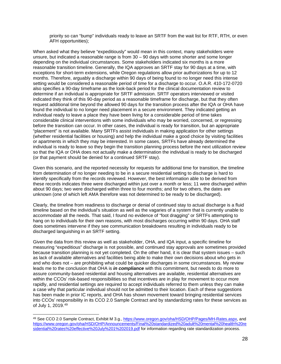priority so can "bump" individuals ready to leave an SRTF from the wait list for RTF, RTH, or even AFH opportunities);

When asked what they believe "expeditiously" would mean in this context, many stakeholders were unsure, but indicated a reasonable range is from 30 – 90 days with some shorter and some longer depending on the individual circumstances. Some stakeholders indicated six months is a more reasonable transition timeline. Generally, the IQA approves an SRTF stay for 90 days at a time, with exceptions for short-term extensions, while Oregon regulations allow prior authorizations for up to 12 months. Therefore, arguably a discharge within 90 days of being found to no longer need this intense setting would be considered a reasonable period of time for a discharge to occur. O.A.R. 410-172-0720 also specifies a 90-day timeframe as the look-back period for the clinical documentation review to determine if an individual is appropriate for SRTF admission. SRTF operators interviewed or visited indicated they think of this 90-day period as a reasonable timeframe for discharge, but that they often request additional time beyond the allowed 90 days for the transition process after the IQA or OHA have found the individual to no longer need placement in a secure environment. They indicated getting an individual ready to leave a place they have been living for a considerable period of time takes considerable clinical interventions with some individuals who may be worried, concerned, or regressing before the transition can occur. In other cases, the individual is ready for transition, but an appropriate "placement" is not available. Many SRTFs assist individuals in making application for other settings (whether residential facilities or housing) and help the individual make a good choice by visiting facilities or apartments in which they may be interested. In some cases, SRTFs have already determined the individual is ready to leave so they begin the transition planning process before the next utilization review so that the IQA or OHA does not actually make a determination the individual is ready to be discharged (or that payment should be denied for a continued SRTF stay).

Given this scenario, and the reported necessity for requests for additional time for transition, the timeline from determination of no longer needing to be in a secure residential setting to discharge is hard to identify specifically from the records reviewed. However, the best information able to be derived from these records indicates three were discharged within just over a month or less; 11 were discharged within about 90 days; two were discharged within three to four months; and for two others, the dates are unknown (one of which left AMA therefore was not determined to be ready to be discharged).

Clearly, the timeline from readiness to discharge or denial of continued stay to actual discharge is a fluid timeline based on the individual's situation as well as the vagaries of a system that is currently unable to accommodate all the needs. That said, I found no evidence of "foot dragging" or SRTFs attempting to hang on to individuals for their own reasons, with most discharges occurring within 90 days. OHA staff does sometimes intervene if they see communication breakdowns resulting in individuals ready to be discharged languishing in an SRTF setting.

Given the data from this review as well as stakeholder, OHA, and IQA input, a specific timeline for measuring "expeditious" discharge is not possible, and continued stay approvals are sometimes provided because transition planning is not yet completed. On the other hand, it is clear that system issues – such as lack of available alternatives and facilities being able to make their own decisions about who gets in and who does not – are prohibiting what could be quicker discharges in some circumstances. My review leads me to the conclusion that OHA is *in compliance* with this commitment, but needs to do more to assure community-based residential and housing alternatives are available, residential alternatives are within the CCOs' risk-based responsibilities so that incentives are in play for movement to occur more rapidly, and residential settings are required to accept individuals referred to them unless they can make a case why that particular individual should not be admitted to their location. Each of these suggestions has been made in prior IC reports, and OHA has shown movement toward bringing residential services into CCOs' responsibility in its CCO 2.0 Sample Contract and by standardizing rates for these services as of July 1, 2019.[49](#page-27-0)

<span id="page-27-0"></span><sup>49</sup> See CCO 2.0 Sample Contract, Exhibit M 3.g., [https://www.oregon.gov/oha/HSD/OHP/Pages/MH-Rates.aspx,](https://www.oregon.gov/oha/HSD/OHP/Pages/MH-Rates.aspx) and [https://www.oregon.gov/oha/HSD/OHP/Announcements/Final%20standardized%20adult%20mental%20health%20re](https://www.oregon.gov/oha/HSD/OHP/Announcements/Final%20standardized%20adult%20mental%20health%20residential%20rates%20effective%20July%201%202019.pdf) [sidential%20rates%20effective%20July%201%202019.pdf](https://www.oregon.gov/oha/HSD/OHP/Announcements/Final%20standardized%20adult%20mental%20health%20residential%20rates%20effective%20July%201%202019.pdf) for information regarding rate standardization process.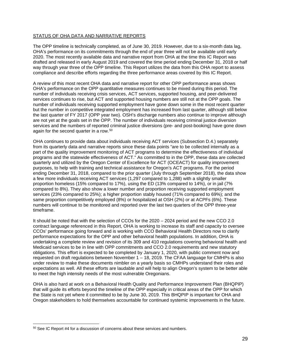## STATUS OF OHA DATA AND NARRATIVE REPORTS

The OPP timeline is technically completed, as of June 30, 2019. However, due to a six-month data lag, OHA's performance on its commitments through the end of year three will not be available until early 2020. The most recently available data and narrative report from OHA at the time this IC Report was drafted and released in early August 2019 and covered the time period ending December 31, 2018 or half way through year three of the OPP timeline. This Report utilizes the data from this OHA report to assess compliance and describe efforts regarding the three performance areas covered by this IC Report.

A review of this most recent OHA data and narrative report for other OPP performance areas shows OHA's performance on the OPP quantitative measures continues to be mixed during this period. The number of individuals receiving crisis services, ACT services, supported housing, and peer-delivered services continues to rise, but ACT and supported housing numbers are still not at the OPP goals. The number of individuals receiving supported employment have gone down some in the most recent quarter but the number in competitive integrated employment has increased from last quarter, although still below the last quarter of FY 2017 (OPP year two). OSH's discharge numbers also continue to improve although are not yet at the goals set in the OPP. The number of individuals receiving criminal justice diversion services and the numbers of reported criminal justice diversions (pre- and post-booking) have gone down again for the second quarter in a row.[50](#page-28-0)

OHA continues to provide data about individuals receiving ACT services (Subsection D.4.) separately from its quarterly data and narrative reports since these data points "are to be collected internally as a part of the quality improvement monitoring of ACT programs to determine the effectiveness of individual programs and the statewide effectiveness of ACT." As committed to in the OPP, these data are collected quarterly and utilized by the Oregon Center of Excellence for ACT (OCEACT) for quality improvement purposes, to help with training and technical assistance for Oregon's ACT programs. For the period ending December 31, 2018, compared to the prior quarter (July through September 2018), the data show a few more individuals receiving ACT services (1,297 compared to 1,288) with a slightly smaller proportion homeless (15% compared to 17%), using the ED (13% compared to 14%), or in jail (7% compared to 8%). They also show a lower number and proportion receiving supported employment services (23% compared to 25%); a higher proportion stably housed (71% compared to 69%); and the same proportion competitively employed (8%) or hospitalized at OSH (2%) or at ACPFs (6%). These numbers will continue to be monitored and reported over the last two quarters of the OPP three-year timeframe.

It should be noted that with the selection of CCOs for the 2020 – 2024 period and the new CCO 2.0 contract language referenced in this Report, OHA is working to increase its staff and capacity to oversee CCOs' performance going forward and is working with CCO Behavioral Health Directors now to clarify performance expectations for the OPP and other behavioral health populations. In addition, OHA is undertaking a complete review and revision of its 309 and 410 regulations covering behavioral health and Medicaid services to be in line with OPP commitments and CCO 2.0 requirements and new statutory obligations. This effort is expected to be completed by January 1, 2020, with public comment now and requested on draft regulations between November 1 – 18, 2019. The CFAA language for CMHPs is also under review to make these documents nimbler on a yearly basis so CMHPs understand their roles and expectations as well. All these efforts are laudable and will help to align Oregon's system to be better able to meet the high intensity needs of the most vulnerable Oregonians.

OHA is also hard at work on a Behavioral Health Quality and Performance Improvement Plan (BHQPIP) that will guide its efforts beyond the timeline of the OPP especially in critical areas of the OPP for which the State is not yet where it committed to be by June 30, 2019. This BHQPIP is important for OHA and Oregon stakeholders to hold themselves accountable for continued systemic improvements in the future.

<span id="page-28-0"></span> $50$  See IC Report #4 for a discussion of concerns about these services and numbers.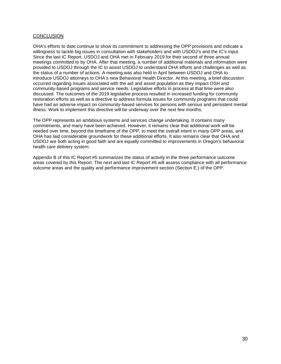#### **CONCLUSION**

OHA's efforts to date continue to show its commitment to addressing the OPP provisions and indicate a willingness to tackle big issues in consultation with stakeholders and with USDOJ's and the IC's input. Since the last IC Report, USDOJ and OHA met in February 2019 for their second of three annual meetings committed to by OHA. After that meeting, a number of additional materials and information were provided to USDOJ through the IC to assist USDOJ to understand OHA efforts and challenges as well as the status of a number of actions. A meeting was also held in April between USDOJ and OHA to introduce USDOJ attorneys to OHA's new Behavioral Health Director. At this meeting, a brief discussion occurred regarding issues associated with the aid and assist population as they impact OSH and community-based programs and service needs. Legislative efforts in process at that time were also discussed. The outcomes of the 2019 legislative process resulted in increased funding for community restoration efforts as well as a directive to address formula issues for community programs that could have had an adverse impact on community-based services for persons with serious and persistent mental illness. Work to implement this directive will be underway over the next few months.

The OPP represents an ambitious systems and services change undertaking. It contains many commitments, and many have been achieved. However, it remains clear that additional work will be needed over time, beyond the timeframe of the OPP, to meet the overall intent in many OPP areas, and OHA has laid considerable groundwork for these additional efforts. It also remains clear that OHA and USDOJ are both acting in good faith and are equally committed to improvements in Oregon's behavioral health care delivery system.

Appendix B of this IC Report #5 summarizes the status of activity in the three performance outcome areas covered by this Report. The next and last IC Report #6 will assess compliance with all performance outcome areas and the quality and performance improvement section (Section E.) of the OPP.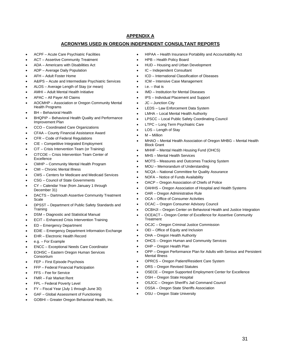# **APPENDIX A**

#### **ACRONYMS USED IN OREGON INDEPENDENT CONSULTANT REPORTS**

- ACPF Acute Care Psychiatric Facilities
- ACT Assertive Community Treatment
- ADA Americans with Disabilities Act
- ADP Average Daily Population
- AFH Adult Foster Home
- A&IPS Acute and Intermediate Psychiatric Services
- ALOS Average Length of Stay (or mean)
- AMHI Adult Mental Health Initiative
- APAC All Payer All Claims
- AOCMHP Association or Oregon Community Mental Health Programs
- **BH** Behavioral Health
- BHQPIP Behavioral Health Quality and Performance Improvement Plan
- CCO Coordinated Care Organizations
- CFAA County Financial Assistance Award
- CFR Code of Federal Regulations
- CIE Competitive Integrated Employment
- CIT Crisis Intervention Team (or Training)
- CITCOE Crisis Intervention Team Center of Excellence
- CMHP Community Mental Health Program
- CMI Chronic Mental Illness
- CMS Centers for Medicare and Medicaid Services
- CSG Council of State Governments
- CY Calendar Year (from January 1 through December 31)
- DACTS Dartmouth Assertive Community Treatment Scale
- DPSST Department of Public Safety Standards and **Training**
- DSM Diagnostic and Statistical Manual
- ECIT Enhanced Crisis Intervention Training
- ED Emergency Department
- EDIE Emergency Department Information Exchange
- EHR Electronic Health Record
- e.g. For Example
- ENCC Exceptional Needs Care Coordinator
- EOHSC Eastern Oregon Human Services **Consortium**
- FEP First Episode Psychosis
- FFP Federal Financial Participation
- FFS Fee for Service
- FMR Fair Market Rent
- FPL Federal Poverty Level
- FY Fiscal Year (July 1 through June 30)
- GAF Global Assessment of Functioning
- GOBHI Greater Oregon Behavioral Health, Inc.
- HIPAA Health Insurance Portability and Accountability Act
- HPB Health Policy Board
- HUD Housing and Urban Development
- IC Independent Consultant
- ICD International Classification of Diseases
- ICM Intensive Case Management
- $i.e.$  that is
- IMD Institution for Mental Diseases
- IPS Individual Placement and Support
- JC Junction City
- LEDS Law Enforcement Data System
- LMHA Local Mental Health Authority
- LPSCC Local Public Safety Coordinating Council
	- LTPC Long Term Psychiatric Care
	- LOS Length of Stay
	- M Million
	- MHAO Mental Health Association of Oregon MHBG Mental Health Block Grant
	- MHHF Mental Health Housing Fund (OHCS)
- MHS Mental Health Services
- MOTS Measures and Outcomes Tracking System
- MOU Memorandum of Understanding
- NCQA National Committee for Quality Assurance
- NOFA Notice of Funds Availability
- OACP Oregon Association of Chiefs of Police
- OAHHS Oregon Association of Hospital and Health Systems
- OAR Oregon Administrative Rule
- OCA Office of Consumer Activities
- OCAC Oregon Consumer Advisory Council
- OCBHJI Oregon Center on Behavioral Health and Justice Integration
- OCEACT Oregon Center of Excellence for Assertive Community **Treatment**
- OCJC Oregon Criminal Justice Commission
- OEI Office of Equity and Inclusion
- OHA Oregon Health Authority
- OHCS Oregon Human and Community Services
- OHP Oregon Health Plan
- OPP Oregon Performance Plan for Adults with Serious and Persistent Mental Illness
- OPRCS Oregon Patient/Resident Care System
- ORS Oregon Revised Statutes
- OSECE Oregon Supported Employment Center for Excellence
- OSH Oregon State Hospital
- OSJCC Oregon Sheriff's Jail Command Council
- OSSA Oregon State Sheriffs Association
- OSU Oregon State University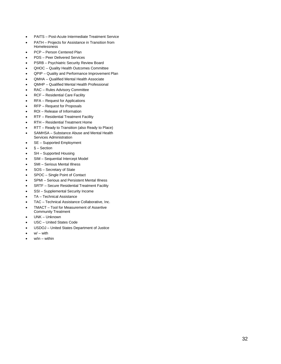- PAITS Post-Acute Intermediate Treatment Service
- PATH Projects for Assistance in Transition from Homelessness
- PCP Person Centered Plan
- PDS Peer Delivered Services
- PSRB Psychiatric Security Review Board
- QHOC Quality Health Outcomes Committee
- Q PIP – Quality and Performance Improvement Plan
- QMHA Qualified Mental Health Associate
- QMHP Qualified Mental Health Professional
- RAC Rules Advisory Committee
- RCF Residential Care Facility
- RFA Request for Applications
- RFP Request for Proposals
- ROI Release of Information
- RTF Residential Treatment Facility
- RTH Residential Treatment Home
- RTT Ready to Transition (also Ready to Place)
- SAMHSA Substance Abuse and Mental Health Services Administration
- SE Supported Employment
- § Section
- SH Supported Housing
- SIM Sequential Intercept Model
- SMI Serious Mental Illness
- SOS Secretary of State
- SPOC Single Point of Contact
- SPMI Serious and Persistent Mental Illness
- SRTF Secure Residential Treatment Facility
- SSI Supplemental Security Income
- TA Technical Assistance
- TAC Technical Assistance Collaborative, Inc.
- TMACT Tool for Measurement of Assertive Community Treatment
- UNK Unknown
- USC United States Code
- USDOJ United States Department of Justice
- $\bullet$   $\mathsf{w}/\mathsf{-with}$
- w/in within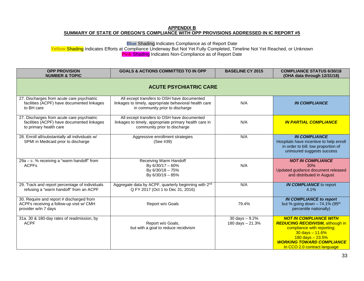#### **APPENDIX B SUMMARY OF STATE OF OREGON'S COMPLIANCE WITH OPP PROVISIONS ADDRESSED IN IC REPORT #5**

**Blue** Shading Indicates Compliance as of Report Date

**Yellow** Shading Indicates Efforts at Compliance Underway But Not Yet Fully Completed, Timeline Not Yet Reached, or Unknown **Pink** Shading Indicates Non-Compliance as of Report Date

| <b>OPP PROVISION</b><br><b>NUMBER &amp; TOPIC</b>                                                                  | <b>GOALS &amp; ACTIONS COMMITTED TO IN OPP</b>                                                                                           | <b>BASELINE CY 2015</b>             | <b>COMPLIANCE STATUS 6/30/18</b><br>(OHA data through 12/31/18)                                                                                                                                                          |
|--------------------------------------------------------------------------------------------------------------------|------------------------------------------------------------------------------------------------------------------------------------------|-------------------------------------|--------------------------------------------------------------------------------------------------------------------------------------------------------------------------------------------------------------------------|
|                                                                                                                    | <b>ACUTE PSYCHIATRIC CARE</b>                                                                                                            |                                     |                                                                                                                                                                                                                          |
| 27. Discharges from acute care psychiatric<br>facilities (ACPF) have documented linkages<br>to BH care             | All except transfers to OSH have documented<br>linkages to timely, appropriate behavioral health care<br>in community prior to discharge | N/A                                 | <b>IN COMPLIANCE</b>                                                                                                                                                                                                     |
| 27. Discharges from acute care psychiatric<br>facilities (ACPF) have documented linkages<br>to primary health care | All except transfers to OSH have documented<br>linkages to timely, appropriate primary health care in<br>community prior to discharge    | N/A                                 | <b>IN PARTIAL COMPLIANCE</b>                                                                                                                                                                                             |
| 28. Enroll all/substantially all individuals w/<br>SPMI in Medicaid prior to discharge                             | Aggressive enrollment strategies<br>(See #39)                                                                                            | N/A                                 | <b>IN COMPLIANCE</b><br>Hospitals have incentive to help enroll<br>in order to bill; low proportion of<br>uninsured suggests success                                                                                     |
| $29a - c$ . % receiving a "warm handoff" from<br><b>ACPFs</b>                                                      | Receiving Warm Handoff<br>By 6/30/17 - 60%<br>By 6/30/18 - 75%<br>By 6/30/19 - 85%                                                       | N/A                                 | <b>NOT IN COMPLIANCE</b><br>30%<br>Updated guidance document released<br>and distributed in August                                                                                                                       |
| 29. Track and report percentage of individuals<br>refusing a "warm handoff" from an ACPF                           | Aggregate data by ACPF, quarterly beginning with 2nd<br>Q FY 2017 (Oct 1 to Dec 31, 2016)                                                | N/A                                 | <b>IN COMPLIANCE</b> to report<br>4.1%                                                                                                                                                                                   |
| 30. Require and report # discharged from<br>ACPFs receiving a follow-up visit w/ CMH<br>provider w/in 7 days       | Report w/o Goals                                                                                                                         | 79.4%                               | <b>IN COMPLIANCE to report</b><br>but % going down - 74.1% (95 <sup>th</sup><br>percentile nationally)                                                                                                                   |
| 31a. 30 & 180-day rates of readmission, by<br><b>ACPF</b>                                                          | Report w/o Goals,<br>but with a goal to reduce recidivism                                                                                | 30 days $-9.2%$<br>180 days - 21.3% | <b>NOT IN COMPLIANCE WITH</b><br><b>REDUCING RECIDIVISM, although in</b><br>compliance with reporting;<br>$30$ days $- 11.6%$<br>$180$ days $-23.5%$<br><b>WORKING TOWARD COMPLIANCE</b><br>In CCO 2.0 contract language |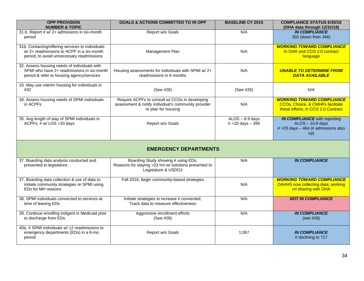| <b>OPP PROVISION</b><br><b>NUMBER &amp; TOPIC</b>                                                                                         | <b>GOALS &amp; ACTIONS COMMITTED TO IN OPP</b>                                                                               | <b>BASELINE CY 2015</b>                | <b>COMPLIANCE STATUS 6/30/18</b><br>(OHA data through 12/31/18)                                              |
|-------------------------------------------------------------------------------------------------------------------------------------------|------------------------------------------------------------------------------------------------------------------------------|----------------------------------------|--------------------------------------------------------------------------------------------------------------|
| 31.b. Report # w/ 2+ admissions in six-month<br>period                                                                                    | Report w/o Goals                                                                                                             | N/A                                    | <b>IN COMPLIANCE</b><br>302 (down from 346)                                                                  |
| 31b. Contacting/offering services to individuals<br>w/2+ readmissions to ACPF in a six-month<br>period, to avoid unnecessary readmissions | Management Plan                                                                                                              | N/A                                    | <b>WORKING TOWARD COMPLIANCE</b><br>In OAR and CCO 2.0 contract<br>language                                  |
| 32. Assess housing needs of individuals with<br>SPMI who have 2+ readmissions in six-month<br>period & refer to housing agency/services   | Housing assessments for individuals with SPMI w/2+<br>readmissions in 6 months                                               | N/A                                    | <b>UNABLE TO DETERMINE FROM</b><br><b>DATA AVAILABLE</b>                                                     |
| 33. May use interim housing for individuals in<br>#32                                                                                     | (See #26)                                                                                                                    | (See #26)                              | N/A                                                                                                          |
| 34. Assess housing needs of SPMI individuals<br>in ACPFs                                                                                  | Require ACPFs to consult w/ CCOs in developing<br>assessment & notify individual's community provider<br>re plan for housing | N/A                                    | <b>WORKING TOWARD COMPLIANCE</b><br>CCOs, Choice, & CMHPs facilitate<br>these efforts; in CCO 2.0 Contract   |
| 35. Avg length of stay of SPMI individuals in<br>ACPFs; # w/ LOS > 20 days                                                                | Report w/o Goals                                                                                                             | $ALOS - 8.9$ days<br># > 20 days - 385 | <b>IN COMPLIANCE</b> with reporting<br>$ALOS - 10.8$ days<br>$# > 20$ days $- 464$ (# admissions also<br>up) |
|                                                                                                                                           | <b>EMERGENCY DEPARTMENTS</b>                                                                                                 |                                        |                                                                                                              |
| 37. Boarding data analysis conducted and<br>presented to legislature.                                                                     | Boarding Study showing # using EDs;<br>Reasons for staying >23 hrs w/ solutions presented to<br>Legislature & USDOJ          | N/A                                    | <b>IN COMPLIANCE</b>                                                                                         |
| 37. Boarding data collection & use of data to<br>initiate community strategies re SPMI using<br>EDs for MH reasons                        | Fall 2016, begin community-based strategies                                                                                  | N/A                                    | <b>WORKING TOWARD COMPLIANCE</b><br><b>OAHHS now collecting data; working</b><br>on sharing with OHA         |
| 38. SPMI individuals connected to services at<br>time of leaving EDs                                                                      | Initiate strategies to increase # connected;<br>Track data to measure effectiveness                                          | N/A                                    | <b>NOT IN COMPLIANCE</b>                                                                                     |
| 39, Continue enrolling indigent in Medicaid prior<br>to discharge from EDs                                                                | Aggressive enrollment efforts<br>(See #28)                                                                                   | N/A                                    | <b>IN COMPLIANCE</b><br>(see #28)                                                                            |
| 40a. # SPMI individuals w/ > 2 readmissions to<br>emergency departments (EDs) in a 6-mo<br>period                                         | Report w/o Goals                                                                                                             | 1,067                                  | <b>IN COMPLIANCE</b><br># declining to 717                                                                   |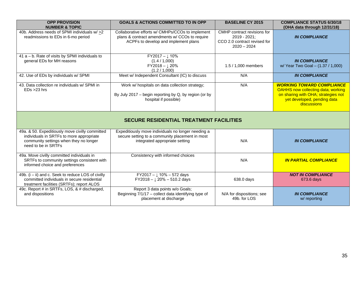| <b>OPP PROVISION</b><br><b>NUMBER &amp; TOPIC</b>                                                                                                                                                          | <b>GOALS &amp; ACTIONS COMMITTED TO IN OPP</b>                                                                                             | <b>BASELINE CY 2015</b>                                                                                                                                            | <b>COMPLIANCE STATUS 6/30/18</b><br>(OHA data through 12/31/18) |
|------------------------------------------------------------------------------------------------------------------------------------------------------------------------------------------------------------|--------------------------------------------------------------------------------------------------------------------------------------------|--------------------------------------------------------------------------------------------------------------------------------------------------------------------|-----------------------------------------------------------------|
| 40b. Address needs of SPMI individuals w/ >2<br>readmissions to EDs in 6-mo period                                                                                                                         | Collaborative efforts w/ CMHPs/CCOs to implement<br>plans & contract amendments w/ CCOs to require<br>ACPFs to develop and implement plans | CMHP contract revisions for<br>2019 - 2021:<br>CCO 2.0 contract revised for<br>$2020 - 2024$                                                                       | <b>IN COMPLIANCE</b>                                            |
| 41 a - b. Rate of visits by SPMI individuals to<br>general EDs for MH reasons                                                                                                                              | $FY2017 - \downarrow 10\%$<br>(1.4 / 1,000)<br>$FY2018 - \downarrow 20\%$<br>(1.2 / 1,000)                                                 | 1.5 / 1,000 members                                                                                                                                                | <b>IN COMPLIANCE</b><br>w/ Year Two Goal - (1.37 / 1,000)       |
| 42. Use of EDs by individuals w/ SPMI                                                                                                                                                                      | Meet w/ Independent Consultant (IC) to discuss                                                                                             | N/A                                                                                                                                                                | <b>IN COMPLIANCE</b>                                            |
| 43. Data collection re individuals w/ SPMI in<br>N/A<br>Work w/ hospitals on data collection strategy;<br>$EDs > 23$ hrs<br>By July 2017 - begin reporting by Q, by region (or by<br>hospital if possible) |                                                                                                                                            | <b>WORKING TOWARD COMPLIANCE</b><br><b>OAHHS now collecting data; working</b><br>on sharing with OHA; strategies not<br>yet developed, pending data<br>discussions |                                                                 |
|                                                                                                                                                                                                            | <b>SECURE RESIDENTIAL TREATMENT FACILITIES</b>                                                                                             |                                                                                                                                                                    |                                                                 |
| 49a. & 50. Expeditiously move civilly committed<br>individuals in SRTFs to more appropriate<br>community settings when they no longer<br>need to be in SRTFs                                               | Expeditiously move individuals no longer needing a<br>secure setting to a community placement in most<br>integrated appropriate setting    | N/A                                                                                                                                                                | <b>IN COMPLIANCE</b>                                            |
| 49a. Move civilly committed individuals in<br>SRTFs to community settings consistent with<br>informed choice and preferences                                                                               | Consistency with informed choices                                                                                                          | N/A                                                                                                                                                                | <b>IN PARTIAL COMPLIANCE</b>                                    |
| 49b. (i - ii) and c. Seek to reduce LOS of civilly<br>committed individuals in secure residential<br>treatment facilities (SRTFs); report ALOS                                                             | FY2017 - $\downarrow$ 10% - 572 days<br>$FY2018 - \downarrow 20\% - 510.2$ days                                                            | 638.0 days                                                                                                                                                         | <b>NOT IN COMPLIANCE</b><br>673.6 days                          |
| 49c. Report # in SRTFs, LOS, & # discharged,<br>and dispositions                                                                                                                                           | Report 3 data points w/o Goals;<br>Beginning 7/1/17 - collect data identifying type of<br>placement at discharge                           | N/A for dispositions; see<br>49b. for LOS                                                                                                                          | <b>IN COMPLIANCE</b><br>w/ reporting                            |